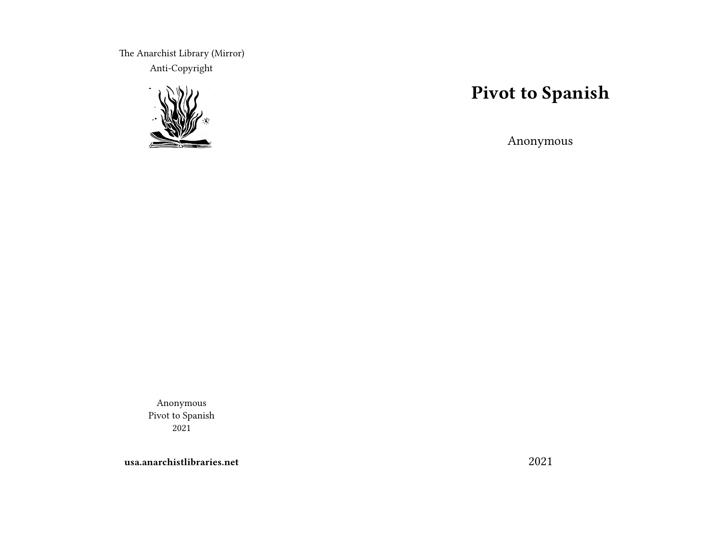The Anarchist Library (Mirror) Anti-Copyright



# **Pivot to Spanish**

Anonymous

Anonymous Pivot to Spanish 2021

**usa.anarchistlibraries.net**

2021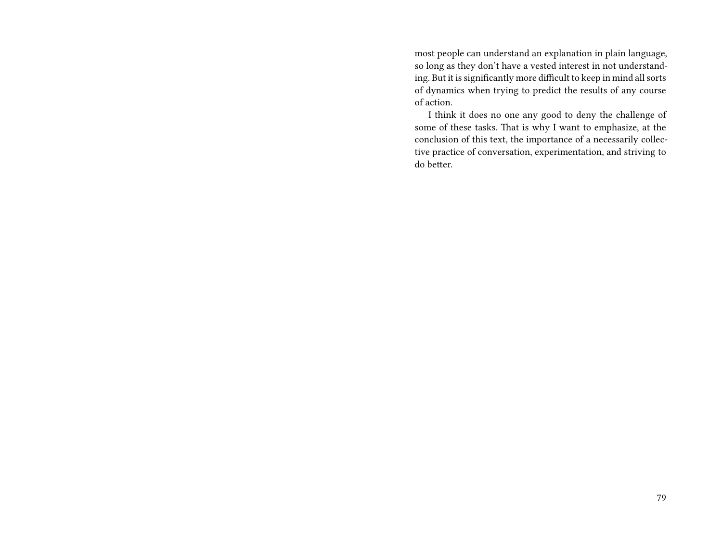most people can understand an explanation in plain language, so long as they don't have a vested interest in not understanding. But it is significantly more difficult to keep in mind all sorts of dynamics when trying to predict the results of any course of action.

I think it does no one any good to deny the challenge of some of these tasks. That is why I want to emphasize, at the conclusion of this text, the importance of a necessarily collective practice of conversation, experimentation, and striving to do better.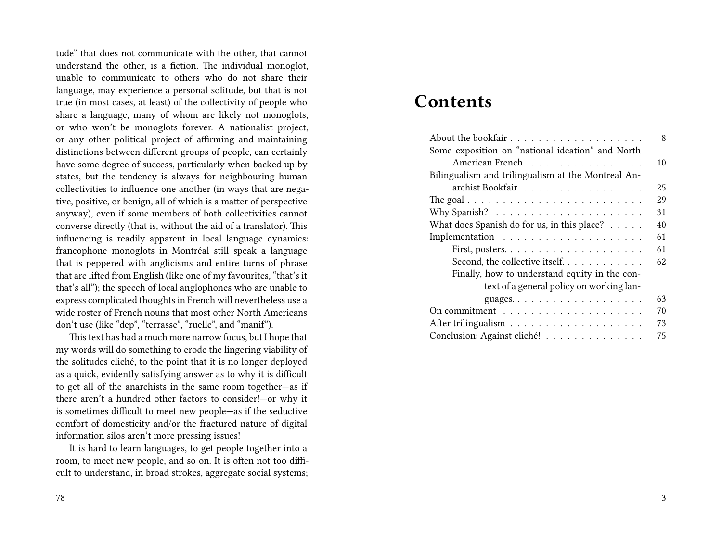tude" that does not communicate with the other, that cannot understand the other, is a fiction. The individual monoglot, unable to communicate to others who do not share their language, may experience a personal solitude, but that is not true (in most cases, at least) of the collectivity of people who share a language, many of whom are likely not monoglots, or who won't be monoglots forever. A nationalist project, or any other political project of affirming and maintaining distinctions between different groups of people, can certainly have some degree of success, particularly when backed up by states, but the tendency is always for neighbouring human collectivities to influence one another (in ways that are negative, positive, or benign, all of which is a matter of perspective anyway), even if some members of both collectivities cannot converse directly (that is, without the aid of a translator). This influencing is readily apparent in local language dynamics: francophone monoglots in Montréal still speak a language that is peppered with anglicisms and entire turns of phrase that are lifted from English (like one of my favourites, "that's it that's all"); the speech of local anglophones who are unable to express complicated thoughts in French will nevertheless use a wide roster of French nouns that most other North Americans don't use (like "dep", "terrasse", "ruelle", and "manif").

This text has had a much more narrow focus, but I hope that my words will do something to erode the lingering viability of the solitudes cliché, to the point that it is no longer deployed as a quick, evidently satisfying answer as to why it is difficult to get all of the anarchists in the same room together—as if there aren't a hundred other factors to consider!—or why it is sometimes difficult to meet new people—as if the seductive comfort of domesticity and/or the fractured nature of digital information silos aren't more pressing issues!

It is hard to learn languages, to get people together into a room, to meet new people, and so on. It is often not too difficult to understand, in broad strokes, aggregate social systems;

## **Contents**

| 8                                                                               |
|---------------------------------------------------------------------------------|
| Some exposition on "national ideation" and North                                |
| American French<br>10                                                           |
| Bilingualism and trilingualism at the Montreal An-                              |
| archist Bookfair<br>25                                                          |
| The goal $\ldots \ldots \ldots \ldots \ldots \ldots \ldots \ldots \ldots$<br>29 |
| 31                                                                              |
| What does Spanish do for us, in this place?<br>40                               |
| 61                                                                              |
| 61                                                                              |
| Second, the collective itself<br>62                                             |
| Finally, how to understand equity in the con-                                   |
| text of a general policy on working lan-                                        |
| 63                                                                              |
| 70                                                                              |
| 73                                                                              |
| Conclusion: Against cliché!<br>75                                               |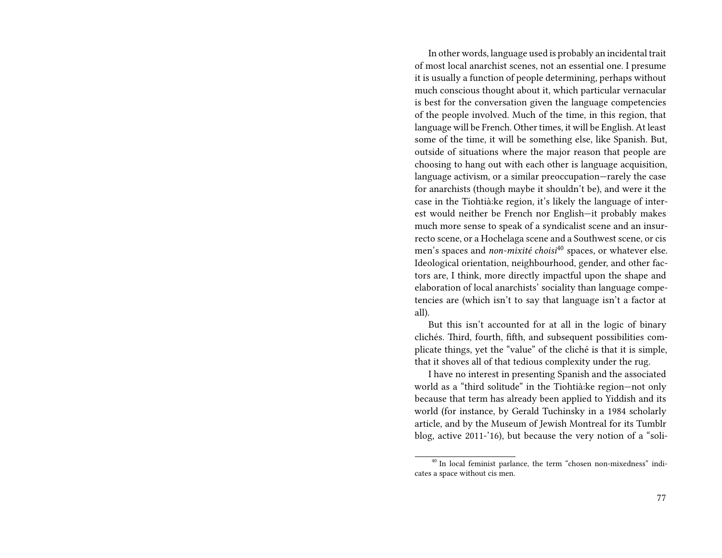In other words, language used is probably an incidental trait of most local anarchist scenes, not an essential one. I presume it is usually a function of people determining, perhaps without much conscious thought about it, which particular vernacular is best for the conversation given the language competencies of the people involved. Much of the time, in this region, that language will be French. Other times, it will be English. At least some of the time, it will be something else, like Spanish. But, outside of situations where the major reason that people are choosing to hang out with each other is language acquisition, language activism, or a similar preoccupation—rarely the case for anarchists (though maybe it shouldn't be), and were it the case in the Tiohtià:ke region, it's likely the language of interest would neither be French nor English—it probably makes much more sense to speak of a syndicalist scene and an insurrecto scene, or a Hochelaga scene and a Southwest scene, or cis men's spaces and *non-mixité choisi*<sup>40</sup> spaces, or whatever else. Ideological orientation, neighbourhood, gender, and other factors are, I think, more directly impactful upon the shape and elaboration of local anarchists' sociality than language competencies are (which isn't to say that language isn't a factor at all).

But this isn't accounted for at all in the logic of binary clichés. Third, fourth, fifth, and subsequent possibilities complicate things, yet the "value" of the cliché is that it is simple, that it shoves all of that tedious complexity under the rug.

I have no interest in presenting Spanish and the associated world as a "third solitude" in the Tiohtià:ke region—not only because that term has already been applied to Yiddish and its world (for instance, by Gerald Tuchinsky in a 1984 scholarly article, and by the Museum of Jewish Montreal for its Tumblr blog, active 2011-'16), but because the very notion of a "soli-

<sup>&</sup>lt;sup>40</sup> In local feminist parlance, the term "chosen non-mixedness" indicates a space without cis men.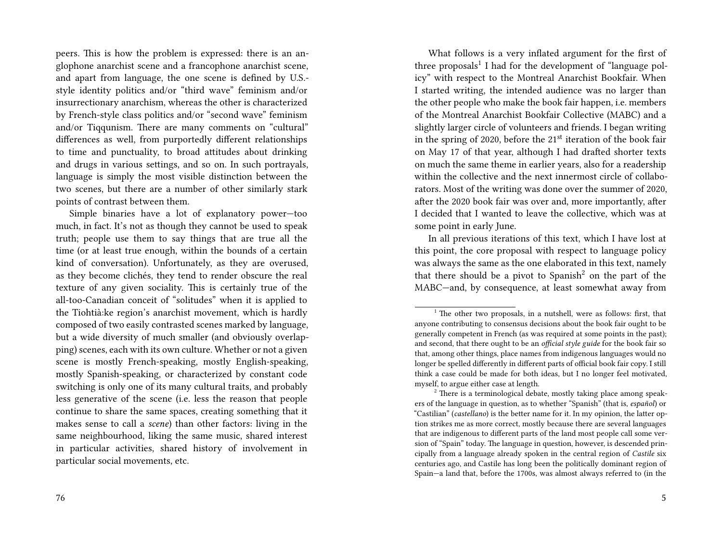peers. This is how the problem is expressed: there is an anglophone anarchist scene and a francophone anarchist scene, and apart from language, the one scene is defined by U.S. style identity politics and/or "third wave" feminism and/or insurrectionary anarchism, whereas the other is characterized by French-style class politics and/or "second wave" feminism and/or Tiqqunism. There are many comments on "cultural" differences as well, from purportedly different relationships to time and punctuality, to broad attitudes about drinking and drugs in various settings, and so on. In such portrayals, language is simply the most visible distinction between the two scenes, but there are a number of other similarly stark points of contrast between them.

Simple binaries have a lot of explanatory power—too much, in fact. It's not as though they cannot be used to speak truth; people use them to say things that are true all the time (or at least true enough, within the bounds of a certain kind of conversation). Unfortunately, as they are overused, as they become clichés, they tend to render obscure the real texture of any given sociality. This is certainly true of the all-too-Canadian conceit of "solitudes" when it is applied to the Tiohtià:ke region's anarchist movement, which is hardly composed of two easily contrasted scenes marked by language, but a wide diversity of much smaller (and obviously overlapping) scenes, each with its own culture. Whether or not a given scene is mostly French-speaking, mostly English-speaking, mostly Spanish-speaking, or characterized by constant code switching is only one of its many cultural traits, and probably less generative of the scene (i.e. less the reason that people continue to share the same spaces, creating something that it makes sense to call a *scene*) than other factors: living in the same neighbourhood, liking the same music, shared interest in particular activities, shared history of involvement in particular social movements, etc.

What follows is a very inflated argument for the first of three proposals<sup>1</sup> I had for the development of "language policy" with respect to the Montreal Anarchist Bookfair. When I started writing, the intended audience was no larger than the other people who make the book fair happen, i.e. members of the Montreal Anarchist Bookfair Collective (MABC) and a slightly larger circle of volunteers and friends. I began writing in the spring of 2020, before the  $21<sup>st</sup>$  iteration of the book fair on May 17 of that year, although I had drafted shorter texts on much the same theme in earlier years, also for a readership within the collective and the next innermost circle of collaborators. Most of the writing was done over the summer of 2020, after the 2020 book fair was over and, more importantly, after I decided that I wanted to leave the collective, which was at some point in early June.

In all previous iterations of this text, which I have lost at this point, the core proposal with respect to language policy was always the same as the one elaborated in this text, namely that there should be a pivot to Spanish<sup>2</sup> on the part of the MABC—and, by consequence, at least somewhat away from

<sup>&</sup>lt;sup>1</sup> The other two proposals, in a nutshell, were as follows: first, that anyone contributing to consensus decisions about the book fair ought to be generally competent in French (as was required at some points in the past); and second, that there ought to be an *official style guide* for the book fair so that, among other things, place names from indigenous languages would no longer be spelled differently in different parts of official book fair copy. I still think a case could be made for both ideas, but I no longer feel motivated, myself, to argue either case at length.

<sup>&</sup>lt;sup>2</sup> There is a terminological debate, mostly taking place among speakers of the language in question, as to whether "Spanish" (that is, *español*) or "Castilian" (*castellano*) is the better name for it. In my opinion, the latter option strikes me as more correct, mostly because there are several languages that are indigenous to different parts of the land most people call some version of "Spain" today. The language in question, however, is descended principally from a language already spoken in the central region of *Castile* six centuries ago, and Castile has long been the politically dominant region of Spain—a land that, before the 1700s, was almost always referred to (in the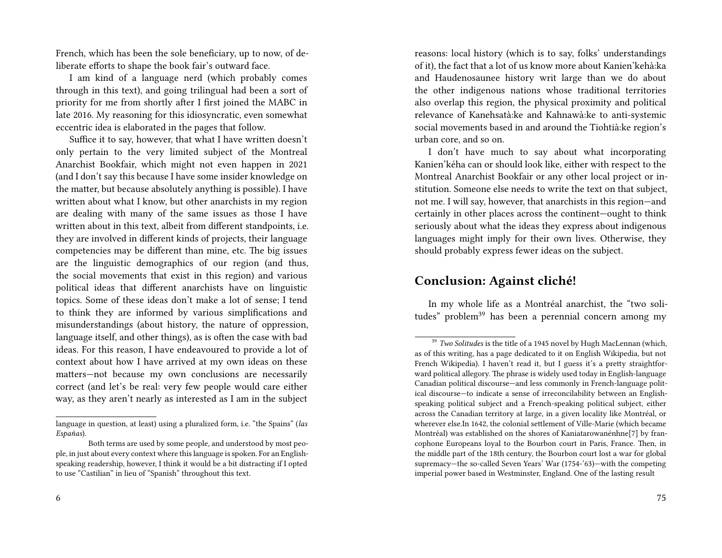French, which has been the sole beneficiary, up to now, of deliberate efforts to shape the book fair's outward face.

I am kind of a language nerd (which probably comes through in this text), and going trilingual had been a sort of priority for me from shortly after I first joined the MABC in late 2016. My reasoning for this idiosyncratic, even somewhat eccentric idea is elaborated in the pages that follow.

Suffice it to say, however, that what I have written doesn't only pertain to the very limited subject of the Montreal Anarchist Bookfair, which might not even happen in 2021 (and I don't say this because I have some insider knowledge on the matter, but because absolutely anything is possible). I have written about what I know, but other anarchists in my region are dealing with many of the same issues as those I have written about in this text, albeit from different standpoints, i.e. they are involved in different kinds of projects, their language competencies may be different than mine, etc. The big issues are the linguistic demographics of our region (and thus, the social movements that exist in this region) and various political ideas that different anarchists have on linguistic topics. Some of these ideas don't make a lot of sense; I tend to think they are informed by various simplifications and misunderstandings (about history, the nature of oppression, language itself, and other things), as is often the case with bad ideas. For this reason, I have endeavoured to provide a lot of context about how I have arrived at my own ideas on these matters—not because my own conclusions are necessarily correct (and let's be real: very few people would care either way, as they aren't nearly as interested as I am in the subject

reasons: local history (which is to say, folks' understandings of it), the fact that a lot of us know more about Kanien'kehà:ka and Haudenosaunee history writ large than we do about the other indigenous nations whose traditional territories also overlap this region, the physical proximity and political relevance of Kanehsatà:ke and Kahnawà:ke to anti-systemic social movements based in and around the Tiohtià:ke region's urban core, and so on.

I don't have much to say about what incorporating Kanien'kéha can or should look like, either with respect to the Montreal Anarchist Bookfair or any other local project or institution. Someone else needs to write the text on that subject, not me. I will say, however, that anarchists in this region—and certainly in other places across the continent—ought to think seriously about what the ideas they express about indigenous languages might imply for their own lives. Otherwise, they should probably express fewer ideas on the subject.

## **Conclusion: Against cliché!**

In my whole life as a Montréal anarchist, the "two solitudes" problem<sup>39</sup> has been a perennial concern among my

language in question, at least) using a pluralized form, i.e. "the Spains" (*las Españas*).

Both terms are used by some people, and understood by most people, in just about every context where this language is spoken. For an Englishspeaking readership, however, I think it would be a bit distracting if I opted to use "Castilian" in lieu of "Spanish" throughout this text.

<sup>39</sup> *Two Solitudes* is the title of a 1945 novel by Hugh MacLennan (which, as of this writing, has a page dedicated to it on English Wikipedia, but not French Wikipedia). I haven't read it, but I guess it's a pretty straightforward political allegory. The phrase is widely used today in English-language Canadian political discourse—and less commonly in French-language political discourse—to indicate a sense of irreconcilability between an Englishspeaking political subject and a French-speaking political subject, either across the Canadian territory at large, in a given locality like Montréal, or wherever else.In 1642, the colonial settlement of Ville-Marie (which became Montréal) was established on the shores of Kaniatarowanénhne[7] by francophone Europeans loyal to the Bourbon court in Paris, France. Then, in the middle part of the 18th century, the Bourbon court lost a war for global supremacy—the so-called Seven Years' War (1754-'63)—with the competing imperial power based in Westminster, England. One of the lasting result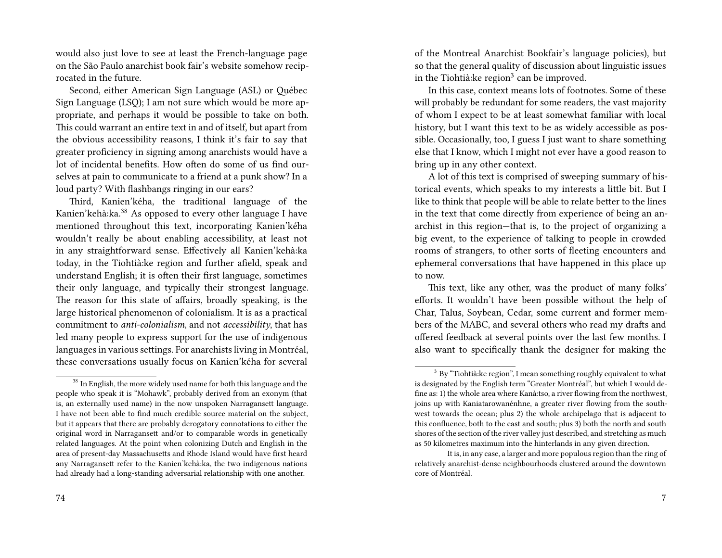would also just love to see at least the French-language page on the São Paulo anarchist book fair's website somehow reciprocated in the future.

Second, either American Sign Language (ASL) or Québec Sign Language (LSQ); I am not sure which would be more appropriate, and perhaps it would be possible to take on both. This could warrant an entire text in and of itself, but apart from the obvious accessibility reasons, I think it's fair to say that greater proficiency in signing among anarchists would have a lot of incidental benefits. How often do some of us find ourselves at pain to communicate to a friend at a punk show? In a loud party? With flashbangs ringing in our ears?

Third, Kanien'kéha, the traditional language of the Kanien'kehà:ka.<sup>38</sup> As opposed to every other language I have mentioned throughout this text, incorporating Kanien'kéha wouldn't really be about enabling accessibility, at least not in any straightforward sense. Effectively all Kanien'kehà:ka today, in the Tiohtià:ke region and further afield, speak and understand English; it is often their first language, sometimes their only language, and typically their strongest language. The reason for this state of affairs, broadly speaking, is the large historical phenomenon of colonialism. It is as a practical commitment to *anti-colonialism*, and not *accessibility*, that has led many people to express support for the use of indigenous languages in various settings. For anarchists living in Montréal, these conversations usually focus on Kanien'kéha for several

of the Montreal Anarchist Bookfair's language policies), but so that the general quality of discussion about linguistic issues in the Tiohtià: $ke$  region $3$  can be improved.

In this case, context means lots of footnotes. Some of these will probably be redundant for some readers, the vast majority of whom I expect to be at least somewhat familiar with local history, but I want this text to be as widely accessible as possible. Occasionally, too, I guess I just want to share something else that I know, which I might not ever have a good reason to bring up in any other context.

A lot of this text is comprised of sweeping summary of historical events, which speaks to my interests a little bit. But I like to think that people will be able to relate better to the lines in the text that come directly from experience of being an anarchist in this region—that is, to the project of organizing a big event, to the experience of talking to people in crowded rooms of strangers, to other sorts of fleeting encounters and ephemeral conversations that have happened in this place up to now.

This text, like any other, was the product of many folks' efforts. It wouldn't have been possible without the help of Char, Talus, Soybean, Cedar, some current and former members of the MABC, and several others who read my drafts and offered feedback at several points over the last few months. I also want to specifically thank the designer for making the

<sup>&</sup>lt;sup>38</sup> In English, the more widely used name for both this language and the people who speak it is "Mohawk", probably derived from an exonym (that is, an externally used name) in the now unspoken Narragansett language. I have not been able to find much credible source material on the subject, but it appears that there are probably derogatory connotations to either the original word in Narragansett and/or to comparable words in genetically related languages. At the point when colonizing Dutch and English in the area of present-day Massachusetts and Rhode Island would have first heard any Narragansett refer to the Kanien'kehà:ka, the two indigenous nations had already had a long-standing adversarial relationship with one another.

 $3$  By "Tiohtià: ke region", I mean something roughly equivalent to what is designated by the English term "Greater Montréal", but which I would define as: 1) the whole area where Kanà:tso, a river flowing from the northwest, joins up with Kaniatarowanénhne, a greater river flowing from the southwest towards the ocean; plus 2) the whole archipelago that is adjacent to this confluence, both to the east and south; plus 3) both the north and south shores of the section of the river valley just described, and stretching as much as 50 kilometres maximum into the hinterlands in any given direction.

It is, in any case, a larger and more populous region than the ring of relatively anarchist-dense neighbourhoods clustered around the downtown core of Montréal.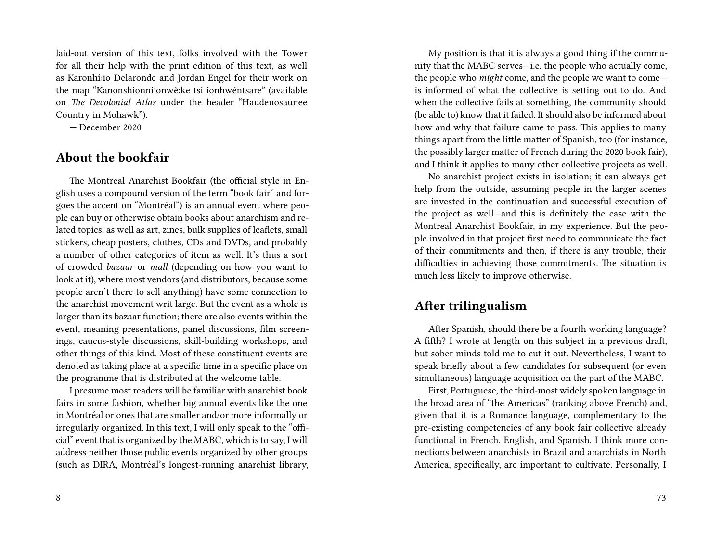laid-out version of this text, folks involved with the Tower for all their help with the print edition of this text, as well as Karonhí:io Delaronde and Jordan Engel for their work on the map "Kanonshionni'onwè:ke tsi ionhwéntsare" (available on *The Decolonial Atlas* under the header "Haudenosaunee Country in Mohawk").

— December 2020

#### **About the bookfair**

The Montreal Anarchist Bookfair (the official style in English uses a compound version of the term "book fair" and forgoes the accent on "Montréal") is an annual event where people can buy or otherwise obtain books about anarchism and related topics, as well as art, zines, bulk supplies of leaflets, small stickers, cheap posters, clothes, CDs and DVDs, and probably a number of other categories of item as well. It's thus a sort of crowded *bazaar* or *mall* (depending on how you want to look at it), where most vendors (and distributors, because some people aren't there to sell anything) have some connection to the anarchist movement writ large. But the event as a whole is larger than its bazaar function; there are also events within the event, meaning presentations, panel discussions, film screenings, caucus-style discussions, skill-building workshops, and other things of this kind. Most of these constituent events are denoted as taking place at a specific time in a specific place on the programme that is distributed at the welcome table.

I presume most readers will be familiar with anarchist book fairs in some fashion, whether big annual events like the one in Montréal or ones that are smaller and/or more informally or irregularly organized. In this text, I will only speak to the "official" event that is organized by the MABC, which is to say, I will address neither those public events organized by other groups (such as DIRA, Montréal's longest-running anarchist library,

My position is that it is always a good thing if the community that the MABC serves—i.e. the people who actually come, the people who *might* come, and the people we want to come is informed of what the collective is setting out to do. And when the collective fails at something, the community should (be able to) know that it failed. It should also be informed about how and why that failure came to pass. This applies to many things apart from the little matter of Spanish, too (for instance, the possibly larger matter of French during the 2020 book fair), and I think it applies to many other collective projects as well.

No anarchist project exists in isolation; it can always get help from the outside, assuming people in the larger scenes are invested in the continuation and successful execution of the project as well—and this is definitely the case with the Montreal Anarchist Bookfair, in my experience. But the people involved in that project first need to communicate the fact of their commitments and then, if there is any trouble, their difficulties in achieving those commitments. The situation is much less likely to improve otherwise.

## **After trilingualism**

After Spanish, should there be a fourth working language? A fifth? I wrote at length on this subject in a previous draft, but sober minds told me to cut it out. Nevertheless, I want to speak briefly about a few candidates for subsequent (or even simultaneous) language acquisition on the part of the MABC.

First, Portuguese, the third-most widely spoken language in the broad area of "the Americas" (ranking above French) and, given that it is a Romance language, complementary to the pre-existing competencies of any book fair collective already functional in French, English, and Spanish. I think more connections between anarchists in Brazil and anarchists in North America, specifically, are important to cultivate. Personally, I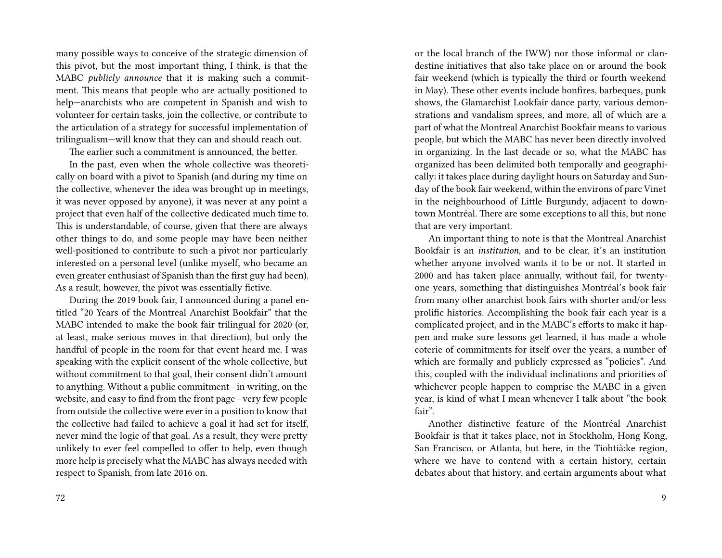many possible ways to conceive of the strategic dimension of this pivot, but the most important thing, I think, is that the MABC *publicly announce* that it is making such a commitment. This means that people who are actually positioned to help—anarchists who are competent in Spanish and wish to volunteer for certain tasks, join the collective, or contribute to the articulation of a strategy for successful implementation of trilingualism—will know that they can and should reach out.

The earlier such a commitment is announced, the better.

In the past, even when the whole collective was theoretically on board with a pivot to Spanish (and during my time on the collective, whenever the idea was brought up in meetings, it was never opposed by anyone), it was never at any point a project that even half of the collective dedicated much time to. This is understandable, of course, given that there are always other things to do, and some people may have been neither well-positioned to contribute to such a pivot nor particularly interested on a personal level (unlike myself, who became an even greater enthusiast of Spanish than the first guy had been). As a result, however, the pivot was essentially fictive.

During the 2019 book fair, I announced during a panel entitled "20 Years of the Montreal Anarchist Bookfair" that the MABC intended to make the book fair trilingual for 2020 (or, at least, make serious moves in that direction), but only the handful of people in the room for that event heard me. I was speaking with the explicit consent of the whole collective, but without commitment to that goal, their consent didn't amount to anything. Without a public commitment—in writing, on the website, and easy to find from the front page—very few people from outside the collective were ever in a position to know that the collective had failed to achieve a goal it had set for itself, never mind the logic of that goal. As a result, they were pretty unlikely to ever feel compelled to offer to help, even though more help is precisely what the MABC has always needed with respect to Spanish, from late 2016 on.

or the local branch of the IWW) nor those informal or clandestine initiatives that also take place on or around the book fair weekend (which is typically the third or fourth weekend in May). These other events include bonfires, barbeques, punk shows, the Glamarchist Lookfair dance party, various demonstrations and vandalism sprees, and more, all of which are a part of what the Montreal Anarchist Bookfair means to various people, but which the MABC has never been directly involved in organizing. In the last decade or so, what the MABC has organized has been delimited both temporally and geographically: it takes place during daylight hours on Saturday and Sunday of the book fair weekend, within the environs of parc Vinet in the neighbourhood of Little Burgundy, adjacent to downtown Montréal. There are some exceptions to all this, but none that are very important.

An important thing to note is that the Montreal Anarchist Bookfair is an *institution*, and to be clear, it's an institution whether anyone involved wants it to be or not. It started in 2000 and has taken place annually, without fail, for twentyone years, something that distinguishes Montréal's book fair from many other anarchist book fairs with shorter and/or less prolific histories. Accomplishing the book fair each year is a complicated project, and in the MABC's efforts to make it happen and make sure lessons get learned, it has made a whole coterie of commitments for itself over the years, a number of which are formally and publicly expressed as "policies". And this, coupled with the individual inclinations and priorities of whichever people happen to comprise the MABC in a given year, is kind of what I mean whenever I talk about "the book fair".

Another distinctive feature of the Montréal Anarchist Bookfair is that it takes place, not in Stockholm, Hong Kong, San Francisco, or Atlanta, but here, in the Tiohtià:ke region, where we have to contend with a certain history, certain debates about that history, and certain arguments about what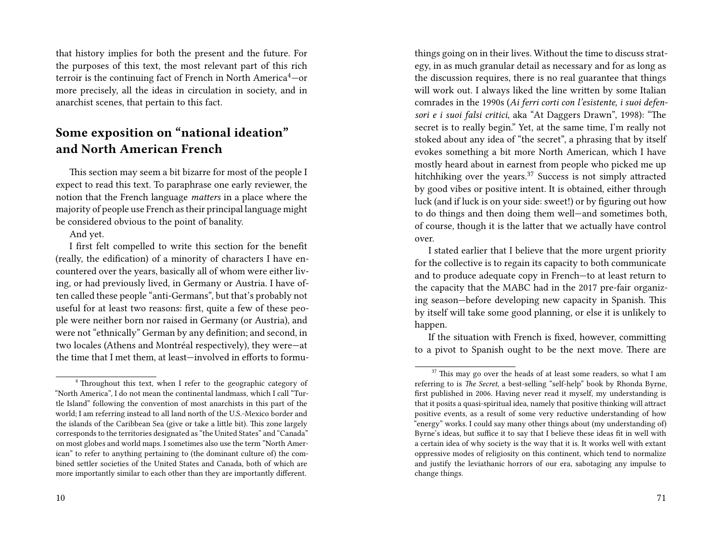that history implies for both the present and the future. For the purposes of this text, the most relevant part of this rich terroir is the continuing fact of French in North America<sup>4</sup>-or more precisely, all the ideas in circulation in society, and in anarchist scenes, that pertain to this fact.

## **Some exposition on "national ideation" and North American French**

This section may seem a bit bizarre for most of the people I expect to read this text. To paraphrase one early reviewer, the notion that the French language *matters* in a place where the majority of people use French as their principal language might be considered obvious to the point of banality.

And yet.

I first felt compelled to write this section for the benefit (really, the edification) of a minority of characters I have encountered over the years, basically all of whom were either living, or had previously lived, in Germany or Austria. I have often called these people "anti-Germans", but that's probably not useful for at least two reasons: first, quite a few of these people were neither born nor raised in Germany (or Austria), and were not "ethnically" German by any definition; and second, in two locales (Athens and Montréal respectively), they were—at the time that I met them, at least—involved in efforts to formuegy, in as much granular detail as necessary and for as long as the discussion requires, there is no real guarantee that things will work out. I always liked the line written by some Italian comrades in the 1990s (*Ai ferri corti con l'esistente, i suoi defensori e i suoi falsi critici*, aka "At Daggers Drawn", 1998): "The secret is to really begin." Yet, at the same time, I'm really not stoked about any idea of "the secret", a phrasing that by itself evokes something a bit more North American, which I have mostly heard about in earnest from people who picked me up hitchhiking over the years.<sup>37</sup> Success is not simply attracted by good vibes or positive intent. It is obtained, either through luck (and if luck is on your side: sweet!) or by figuring out how to do things and then doing them well—and sometimes both, of course, though it is the latter that we actually have control over.

things going on in their lives. Without the time to discuss strat-

I stated earlier that I believe that the more urgent priority for the collective is to regain its capacity to both communicate and to produce adequate copy in French—to at least return to the capacity that the MABC had in the 2017 pre-fair organizing season—before developing new capacity in Spanish. This by itself will take some good planning, or else it is unlikely to happen.

If the situation with French is fixed, however, committing to a pivot to Spanish ought to be the next move. There are

<sup>&</sup>lt;sup>4</sup> Throughout this text, when I refer to the geographic category of "North America", I do not mean the continental landmass, which I call "Turtle Island" following the convention of most anarchists in this part of the world; I am referring instead to all land north of the U.S.-Mexico border and the islands of the Caribbean Sea (give or take a little bit). This zone largely corresponds to the territories designated as "the United States" and "Canada" on most globes and world maps. I sometimes also use the term "North American" to refer to anything pertaining to (the dominant culture of) the combined settler societies of the United States and Canada, both of which are more importantly similar to each other than they are importantly different.

 $37$  This may go over the heads of at least some readers, so what I am referring to is *The Secret*, a best-selling "self-help" book by Rhonda Byrne, first published in 2006. Having never read it myself, my understanding is that it posits a quasi-spiritual idea, namely that positive thinking will attract positive events, as a result of some very reductive understanding of how "energy" works. I could say many other things about (my understanding of) Byrne's ideas, but suffice it to say that I believe these ideas fit in well with a certain idea of why society is the way that it is. It works well with extant oppressive modes of religiosity on this continent, which tend to normalize and justify the leviathanic horrors of our era, sabotaging any impulse to change things.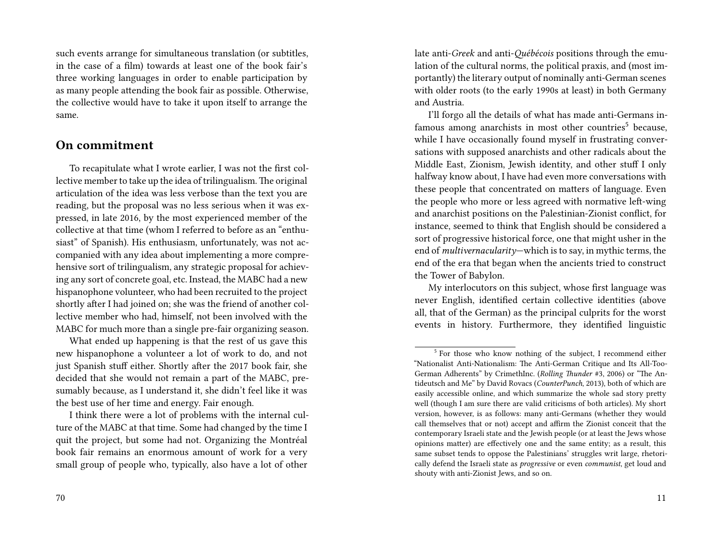such events arrange for simultaneous translation (or subtitles, in the case of a film) towards at least one of the book fair's three working languages in order to enable participation by as many people attending the book fair as possible. Otherwise, the collective would have to take it upon itself to arrange the same.

#### **On commitment**

To recapitulate what I wrote earlier, I was not the first collective member to take up the idea of trilingualism.The original articulation of the idea was less verbose than the text you are reading, but the proposal was no less serious when it was expressed, in late 2016, by the most experienced member of the collective at that time (whom I referred to before as an "enthusiast" of Spanish). His enthusiasm, unfortunately, was not accompanied with any idea about implementing a more comprehensive sort of trilingualism, any strategic proposal for achieving any sort of concrete goal, etc. Instead, the MABC had a new hispanophone volunteer, who had been recruited to the project shortly after I had joined on; she was the friend of another collective member who had, himself, not been involved with the MABC for much more than a single pre-fair organizing season.

What ended up happening is that the rest of us gave this new hispanophone a volunteer a lot of work to do, and not just Spanish stuff either. Shortly after the 2017 book fair, she decided that she would not remain a part of the MABC, presumably because, as I understand it, she didn't feel like it was the best use of her time and energy. Fair enough.

I think there were a lot of problems with the internal culture of the MABC at that time. Some had changed by the time I quit the project, but some had not. Organizing the Montréal book fair remains an enormous amount of work for a very small group of people who, typically, also have a lot of other

late anti-*Greek* and anti-*Québécois* positions through the emulation of the cultural norms, the political praxis, and (most importantly) the literary output of nominally anti-German scenes with older roots (to the early 1990s at least) in both Germany and Austria.

I'll forgo all the details of what has made anti-Germans infamous among anarchists in most other countries<sup>5</sup> because, while I have occasionally found myself in frustrating conversations with supposed anarchists and other radicals about the Middle East, Zionism, Jewish identity, and other stuff I only halfway know about, I have had even more conversations with these people that concentrated on matters of language. Even the people who more or less agreed with normative left-wing and anarchist positions on the Palestinian-Zionist conflict, for instance, seemed to think that English should be considered a sort of progressive historical force, one that might usher in the end of *multivernacularity*—which is to say, in mythic terms, the end of the era that began when the ancients tried to construct the Tower of Babylon.

My interlocutors on this subject, whose first language was never English, identified certain collective identities (above all, that of the German) as the principal culprits for the worst events in history. Furthermore, they identified linguistic

<sup>&</sup>lt;sup>5</sup> For those who know nothing of the subject, I recommend either "Nationalist Anti-Nationalism: The Anti-German Critique and Its All-Too-German Adherents" by CrimethInc. (*Rolling Thunder* #3, 2006) or "The Antideutsch and Me" by David Rovacs (*CounterPunch*, 2013), both of which are easily accessible online, and which summarize the whole sad story pretty well (though I am sure there are valid criticisms of both articles). My short version, however, is as follows: many anti-Germans (whether they would call themselves that or not) accept and affirm the Zionist conceit that the contemporary Israeli state and the Jewish people (or at least the Jews whose opinions matter) are effectively one and the same entity; as a result, this same subset tends to oppose the Palestinians' struggles writ large, rhetorically defend the Israeli state as *progressive* or even *communist*, get loud and shouty with anti-Zionist Jews, and so on.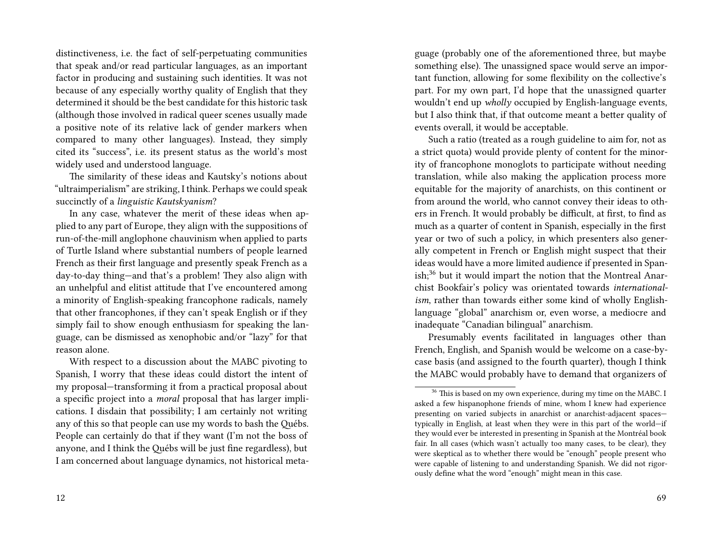distinctiveness, i.e. the fact of self-perpetuating communities that speak and/or read particular languages, as an important factor in producing and sustaining such identities. It was not because of any especially worthy quality of English that they determined it should be the best candidate for this historic task (although those involved in radical queer scenes usually made a positive note of its relative lack of gender markers when compared to many other languages). Instead, they simply cited its "success", i.e. its present status as the world's most widely used and understood language.

The similarity of these ideas and Kautsky's notions about "ultraimperialism" are striking, I think. Perhaps we could speak succinctly of a *linguistic Kautskyanism*?

In any case, whatever the merit of these ideas when applied to any part of Europe, they align with the suppositions of run-of-the-mill anglophone chauvinism when applied to parts of Turtle Island where substantial numbers of people learned French as their first language and presently speak French as a day-to-day thing—and that's a problem! They also align with an unhelpful and elitist attitude that I've encountered among a minority of English-speaking francophone radicals, namely that other francophones, if they can't speak English or if they simply fail to show enough enthusiasm for speaking the language, can be dismissed as xenophobic and/or "lazy" for that reason alone.

With respect to a discussion about the MABC pivoting to Spanish, I worry that these ideas could distort the intent of my proposal—transforming it from a practical proposal about a specific project into a *moral* proposal that has larger implications. I disdain that possibility; I am certainly not writing any of this so that people can use my words to bash the Québs. People can certainly do that if they want (I'm not the boss of anyone, and I think the Québs will be just fine regardless), but I am concerned about language dynamics, not historical metaguage (probably one of the aforementioned three, but maybe something else). The unassigned space would serve an important function, allowing for some flexibility on the collective's part. For my own part, I'd hope that the unassigned quarter wouldn't end up *wholly* occupied by English-language events, but I also think that, if that outcome meant a better quality of events overall, it would be acceptable.

Such a ratio (treated as a rough guideline to aim for, not as a strict quota) would provide plenty of content for the minority of francophone monoglots to participate without needing translation, while also making the application process more equitable for the majority of anarchists, on this continent or from around the world, who cannot convey their ideas to others in French. It would probably be difficult, at first, to find as much as a quarter of content in Spanish, especially in the first year or two of such a policy, in which presenters also generally competent in French or English might suspect that their ideas would have a more limited audience if presented in Spanish;<sup>36</sup> but it would impart the notion that the Montreal Anarchist Bookfair's policy was orientated towards *internationalism*, rather than towards either some kind of wholly Englishlanguage "global" anarchism or, even worse, a mediocre and inadequate "Canadian bilingual" anarchism.

Presumably events facilitated in languages other than French, English, and Spanish would be welcome on a case-bycase basis (and assigned to the fourth quarter), though I think the MABC would probably have to demand that organizers of

<sup>&</sup>lt;sup>36</sup> This is based on my own experience, during my time on the MABC. I asked a few hispanophone friends of mine, whom I knew had experience presenting on varied subjects in anarchist or anarchist-adjacent spaces typically in English, at least when they were in this part of the world—if they would ever be interested in presenting in Spanish at the Montréal book fair. In all cases (which wasn't actually too many cases, to be clear), they were skeptical as to whether there would be "enough" people present who were capable of listening to and understanding Spanish. We did not rigorously define what the word "enough" might mean in this case.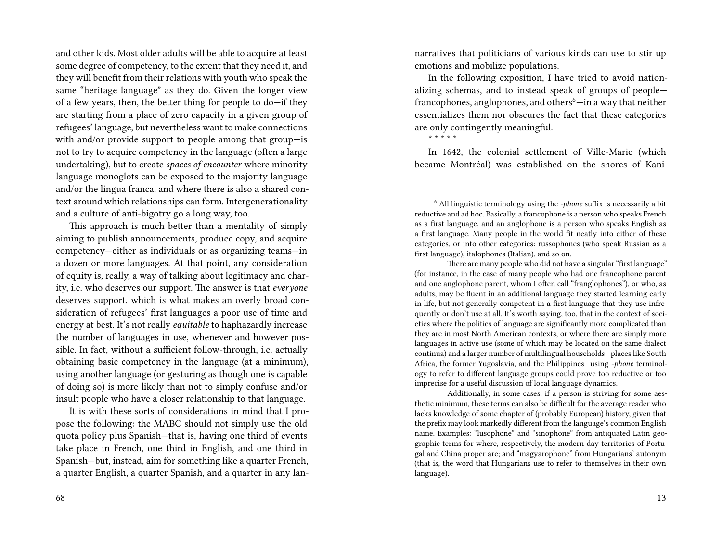and other kids. Most older adults will be able to acquire at least some degree of competency, to the extent that they need it, and they will benefit from their relations with youth who speak the same "heritage language" as they do. Given the longer view of a few years, then, the better thing for people to do—if they are starting from a place of zero capacity in a given group of refugees' language, but nevertheless want to make connections with and/or provide support to people among that group—is not to try to acquire competency in the language (often a large undertaking), but to create *spaces of encounter* where minority language monoglots can be exposed to the majority language and/or the lingua franca, and where there is also a shared context around which relationships can form. Intergenerationality and a culture of anti-bigotry go a long way, too.

This approach is much better than a mentality of simply aiming to publish announcements, produce copy, and acquire competency—either as individuals or as organizing teams—in a dozen or more languages. At that point, any consideration of equity is, really, a way of talking about legitimacy and charity, i.e. who deserves our support. The answer is that *everyone* deserves support, which is what makes an overly broad consideration of refugees' first languages a poor use of time and energy at best. It's not really *equitable* to haphazardly increase the number of languages in use, whenever and however possible. In fact, without a sufficient follow-through, i.e. actually obtaining basic competency in the language (at a minimum), using another language (or gesturing as though one is capable of doing so) is more likely than not to simply confuse and/or insult people who have a closer relationship to that language.

It is with these sorts of considerations in mind that I propose the following: the MABC should not simply use the old quota policy plus Spanish—that is, having one third of events take place in French, one third in English, and one third in Spanish—but, instead, aim for something like a quarter French, a quarter English, a quarter Spanish, and a quarter in any lannarratives that politicians of various kinds can use to stir up emotions and mobilize populations.

In the following exposition, I have tried to avoid nationalizing schemas, and to instead speak of groups of people francophones, anglophones, and others<sup>6</sup>—in a way that neither essentializes them nor obscures the fact that these categories are only contingently meaningful.

\* \* \* \* \*

In 1642, the colonial settlement of Ville-Marie (which became Montréal) was established on the shores of Kani-

There are many people who did not have a singular "first language" (for instance, in the case of many people who had one francophone parent and one anglophone parent, whom I often call "franglophones"), or who, as adults, may be fluent in an additional language they started learning early in life, but not generally competent in a first language that they use infrequently or don't use at all. It's worth saying, too, that in the context of societies where the politics of language are significantly more complicated than they are in most North American contexts, or where there are simply more languages in active use (some of which may be located on the same dialect continua) and a larger number of multilingual households—places like South Africa, the former Yugoslavia, and the Philippines—using *-phone* terminology to refer to different language groups could prove too reductive or too imprecise for a useful discussion of local language dynamics.

Additionally, in some cases, if a person is striving for some aesthetic minimum, these terms can also be difficult for the average reader who lacks knowledge of some chapter of (probably European) history, given that the prefix may look markedly different from the language's common English name. Examples: "lusophone" and "sinophone" from antiquated Latin geographic terms for where, respectively, the modern-day territories of Portugal and China proper are; and "magyarophone" from Hungarians' autonym (that is, the word that Hungarians use to refer to themselves in their own language).

<sup>6</sup> All linguistic terminology using the *-phone* suffix is necessarily a bit reductive and ad hoc. Basically, a francophone is a person who speaks French as a first language, and an anglophone is a person who speaks English as a first language. Many people in the world fit neatly into either of these categories, or into other categories: russophones (who speak Russian as a first language), italophones (Italian), and so on.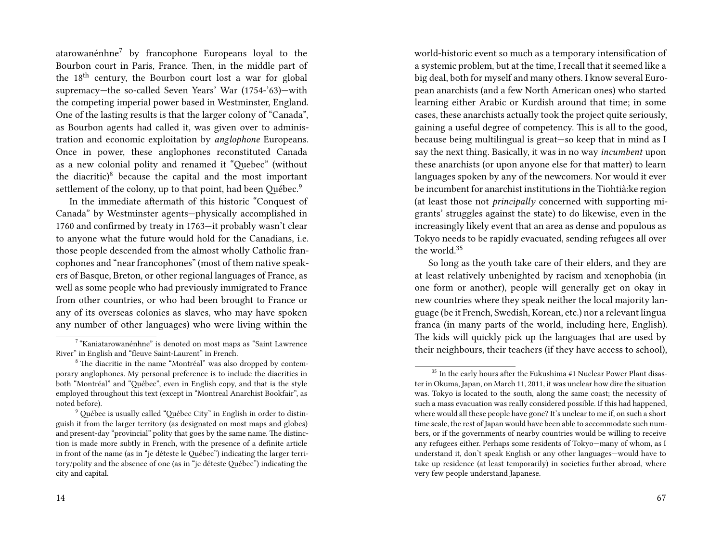atarowanénhne<sup>7</sup> by francophone Europeans loyal to the Bourbon court in Paris, France. Then, in the middle part of the 18<sup>th</sup> century, the Bourbon court lost a war for global supremacy—the so-called Seven Years' War (1754-'63)—with the competing imperial power based in Westminster, England. One of the lasting results is that the larger colony of "Canada", as Bourbon agents had called it, was given over to administration and economic exploitation by *anglophone* Europeans. Once in power, these anglophones reconstituted Canada as a new colonial polity and renamed it "Quebec" (without the diacritic) $8$  because the capital and the most important settlement of the colony, up to that point, had been Québec.<sup>9</sup>

In the immediate aftermath of this historic "Conquest of Canada" by Westminster agents—physically accomplished in 1760 and confirmed by treaty in 1763—it probably wasn't clear to anyone what the future would hold for the Canadians, i.e. those people descended from the almost wholly Catholic francophones and "near francophones" (most of them native speakers of Basque, Breton, or other regional languages of France, as well as some people who had previously immigrated to France from other countries, or who had been brought to France or any of its overseas colonies as slaves, who may have spoken any number of other languages) who were living within the

world-historic event so much as a temporary intensification of a systemic problem, but at the time, I recall that it seemed like a big deal, both for myself and many others. I know several European anarchists (and a few North American ones) who started learning either Arabic or Kurdish around that time; in some cases, these anarchists actually took the project quite seriously, gaining a useful degree of competency. This is all to the good, because being multilingual is great—so keep that in mind as I say the next thing. Basically, it was in no way *incumbent* upon these anarchists (or upon anyone else for that matter) to learn languages spoken by any of the newcomers. Nor would it ever be incumbent for anarchist institutions in the Tiohtià:ke region (at least those not *principally* concerned with supporting migrants' struggles against the state) to do likewise, even in the increasingly likely event that an area as dense and populous as Tokyo needs to be rapidly evacuated, sending refugees all over the world.<sup>35</sup>

So long as the youth take care of their elders, and they are at least relatively unbenighted by racism and xenophobia (in one form or another), people will generally get on okay in new countries where they speak neither the local majority language (be it French, Swedish, Korean, etc.) nor a relevant lingua franca (in many parts of the world, including here, English). The kids will quickly pick up the languages that are used by their neighbours, their teachers (if they have access to school),

<sup>&</sup>lt;sup>7</sup> "Kaniatarowanénhne" is denoted on most maps as "Saint Lawrence River" in English and "fleuve Saint-Laurent" in French.

<sup>8</sup> The diacritic in the name "Montréal" was also dropped by contemporary anglophones. My personal preference is to include the diacritics in both "Montréal" and "Québec", even in English copy, and that is the style employed throughout this text (except in "Montreal Anarchist Bookfair", as noted before).

<sup>9</sup> Québec is usually called "Québec City" in English in order to distinguish it from the larger territory (as designated on most maps and globes) and present-day "provincial" polity that goes by the same name. The distinction is made more subtly in French, with the presence of a definite article in front of the name (as in "je déteste le Québec") indicating the larger territory/polity and the absence of one (as in "je déteste Québec") indicating the city and capital.

<sup>&</sup>lt;sup>35</sup> In the early hours after the Fukushima #1 Nuclear Power Plant disaster in Okuma, Japan, on March 11, 2011, it was unclear how dire the situation was. Tokyo is located to the south, along the same coast; the necessity of such a mass evacuation was really considered possible. If this had happened, where would all these people have gone? It's unclear to me if, on such a short time scale, the rest of Japan would have been able to accommodate such numbers, or if the governments of nearby countries would be willing to receive any refugees either. Perhaps some residents of Tokyo—many of whom, as I understand it, don't speak English or any other languages—would have to take up residence (at least temporarily) in societies further abroad, where very few people understand Japanese.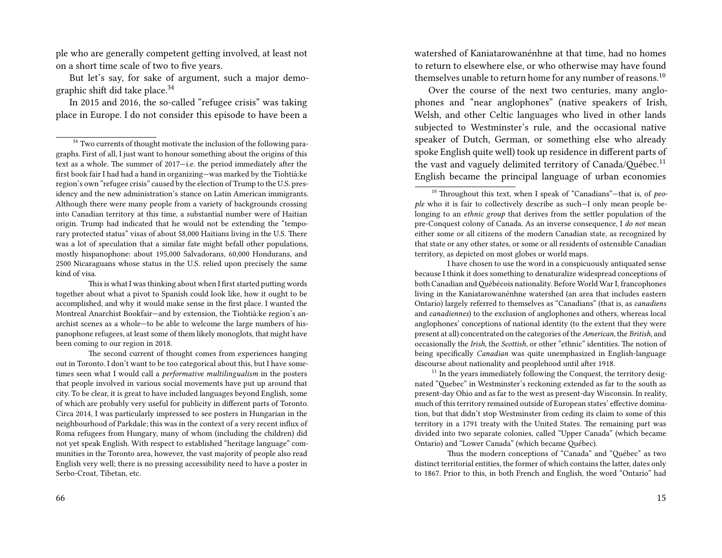ple who are generally competent getting involved, at least not on a short time scale of two to five years.

But let's say, for sake of argument, such a major demographic shift did take place.<sup>34</sup>

In 2015 and 2016, the so-called "refugee crisis" was taking place in Europe. I do not consider this episode to have been a

This is what I was thinking about when I first started putting words together about what a pivot to Spanish could look like, how it ought to be accomplished, and why it would make sense in the first place. I wanted the Montreal Anarchist Bookfair—and by extension, the Tiohtià:ke region's anarchist scenes as a whole—to be able to welcome the large numbers of hispanophone refugees, at least some of them likely monoglots, that might have been coming to our region in 2018.

The second current of thought comes from experiences hanging out in Toronto. I don't want to be too categorical about this, but I have sometimes seen what I would call a *performative multilingualism* in the posters that people involved in various social movements have put up around that city. To be clear, it is great to have included languages beyond English, some of which are probably very useful for publicity in different parts of Toronto. Circa 2014, I was particularly impressed to see posters in Hungarian in the neighbourhood of Parkdale; this was in the context of a very recent influx of Roma refugees from Hungary, many of whom (including the children) did not yet speak English. With respect to established "heritage language" communities in the Toronto area, however, the vast majority of people also read English very well; there is no pressing accessibility need to have a poster in Serbo-Croat, Tibetan, etc.

watershed of Kaniatarowanénhne at that time, had no homes to return to elsewhere else, or who otherwise may have found themselves unable to return home for any number of reasons.<sup>10</sup>

Over the course of the next two centuries, many anglophones and "near anglophones" (native speakers of Irish, Welsh, and other Celtic languages who lived in other lands subjected to Westminster's rule, and the occasional native speaker of Dutch, German, or something else who already spoke English quite well) took up residence in different parts of the vast and vaguely delimited territory of Canada/Québec.<sup>11</sup> English became the principal language of urban economies

I have chosen to use the word in a conspicuously antiquated sense because I think it does something to denaturalize widespread conceptions of both Canadian and Québécois nationality. Before World War I, francophones living in the Kaniatarowanénhne watershed (an area that includes eastern Ontario) largely referred to themselves as "Canadians" (that is, as *canadiens* and *canadiennes*) to the exclusion of anglophones and others, whereas local anglophones' conceptions of national identity (to the extent that they were present at all) concentrated on the categories of the *American*, the *British*, and occasionally the *Irish*, the *Scottish*, or other "ethnic" identities. The notion of being specifically *Canadian* was quite unemphasized in English-language discourse about nationality and peoplehood until after 1918.

 $11$  In the years immediately following the Conquest, the territory designated "Quebec" in Westminster's reckoning extended as far to the south as present-day Ohio and as far to the west as present-day Wisconsin. In reality, much of this territory remained outside of European states' effective domination, but that didn't stop Westminster from ceding its claim to some of this territory in a 1791 treaty with the United States. The remaining part was divided into two separate colonies, called "Upper Canada" (which became Ontario) and "Lower Canada" (which became Québec).

Thus the modern conceptions of "Canada" and "Québec" as two distinct territorial entities, the former of which contains the latter, dates only to 1867. Prior to this, in both French and English, the word "Ontario" had

 $34$  Two currents of thought motivate the inclusion of the following paragraphs. First of all, I just want to honour something about the origins of this text as a whole. The summer of 2017—i.e. the period immediately after the first book fair I had had a hand in organizing—was marked by the Tiohtià:ke region's own "refugee crisis" caused by the election of Trump to the U.S. presidency and the new administration's stance on Latin American immigrants. Although there were many people from a variety of backgrounds crossing into Canadian territory at this time, a substantial number were of Haitian origin. Trump had indicated that he would not be extending the "temporary protected status" visas of about 58,000 Haitians living in the U.S. There was a lot of speculation that a similar fate might befall other populations, mostly hispanophone: about 195,000 Salvadorans, 60,000 Hondurans, and 2500 Nicaraguans whose status in the U.S. relied upon precisely the same kind of visa.

<sup>10</sup> Throughout this text, when I speak of "Canadians"—that is, of *people* who it is fair to collectively describe as such—I only mean people belonging to an *ethnic group* that derives from the settler population of the pre-Conquest colony of Canada. As an inverse consequence, I *do not* mean either some or all citizens of the modern Canadian state, as recognized by that state or any other states, or some or all residents of ostensible Canadian territory, as depicted on most globes or world maps.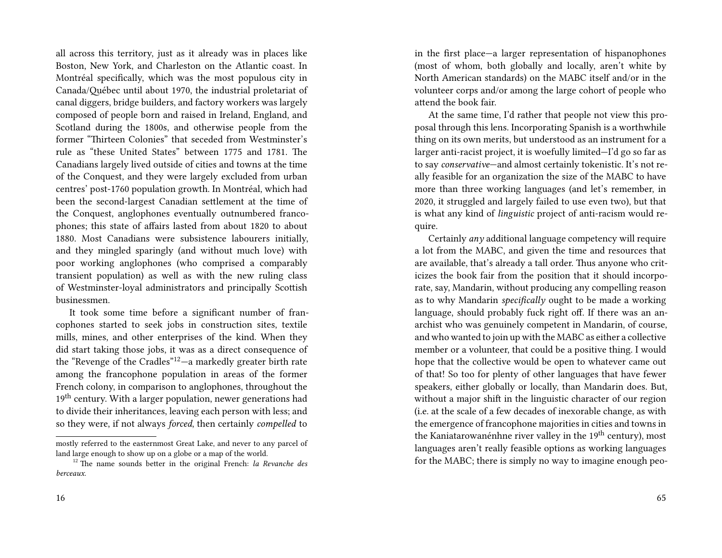all across this territory, just as it already was in places like Boston, New York, and Charleston on the Atlantic coast. In Montréal specifically, which was the most populous city in Canada/Québec until about 1970, the industrial proletariat of canal diggers, bridge builders, and factory workers was largely composed of people born and raised in Ireland, England, and Scotland during the 1800s, and otherwise people from the former "Thirteen Colonies" that seceded from Westminster's rule as "these United States" between 1775 and 1781. The Canadians largely lived outside of cities and towns at the time of the Conquest, and they were largely excluded from urban centres' post-1760 population growth. In Montréal, which had been the second-largest Canadian settlement at the time of the Conquest, anglophones eventually outnumbered francophones; this state of affairs lasted from about 1820 to about 1880. Most Canadians were subsistence labourers initially, and they mingled sparingly (and without much love) with poor working anglophones (who comprised a comparably transient population) as well as with the new ruling class of Westminster-loyal administrators and principally Scottish businessmen.

It took some time before a significant number of francophones started to seek jobs in construction sites, textile mills, mines, and other enterprises of the kind. When they did start taking those jobs, it was as a direct consequence of the "Revenge of the Cradles"12—a markedly greater birth rate among the francophone population in areas of the former French colony, in comparison to anglophones, throughout the 19<sup>th</sup> century. With a larger population, newer generations had to divide their inheritances, leaving each person with less; and so they were, if not always *forced*, then certainly *compelled* to

in the first place—a larger representation of hispanophones (most of whom, both globally and locally, aren't white by North American standards) on the MABC itself and/or in the volunteer corps and/or among the large cohort of people who attend the book fair.

At the same time, I'd rather that people not view this proposal through this lens. Incorporating Spanish is a worthwhile thing on its own merits, but understood as an instrument for a larger anti-racist project, it is woefully limited—I'd go so far as to say *conservative*—and almost certainly tokenistic. It's not really feasible for an organization the size of the MABC to have more than three working languages (and let's remember, in 2020, it struggled and largely failed to use even two), but that is what any kind of *linguistic* project of anti-racism would require.

Certainly *any* additional language competency will require a lot from the MABC, and given the time and resources that are available, that's already a tall order. Thus anyone who criticizes the book fair from the position that it should incorporate, say, Mandarin, without producing any compelling reason as to why Mandarin *specifically* ought to be made a working language, should probably fuck right off. If there was an anarchist who was genuinely competent in Mandarin, of course, and who wanted to join up with the MABC as either a collective member or a volunteer, that could be a positive thing. I would hope that the collective would be open to whatever came out of that! So too for plenty of other languages that have fewer speakers, either globally or locally, than Mandarin does. But, without a major shift in the linguistic character of our region (i.e. at the scale of a few decades of inexorable change, as with the emergence of francophone majorities in cities and towns in the Kaniatarowanénhne river valley in the 19<sup>th</sup> century), most languages aren't really feasible options as working languages for the MABC; there is simply no way to imagine enough peo-

mostly referred to the easternmost Great Lake, and never to any parcel of land large enough to show up on a globe or a map of the world.

<sup>12</sup> The name sounds better in the original French: *la Revanche des berceaux*.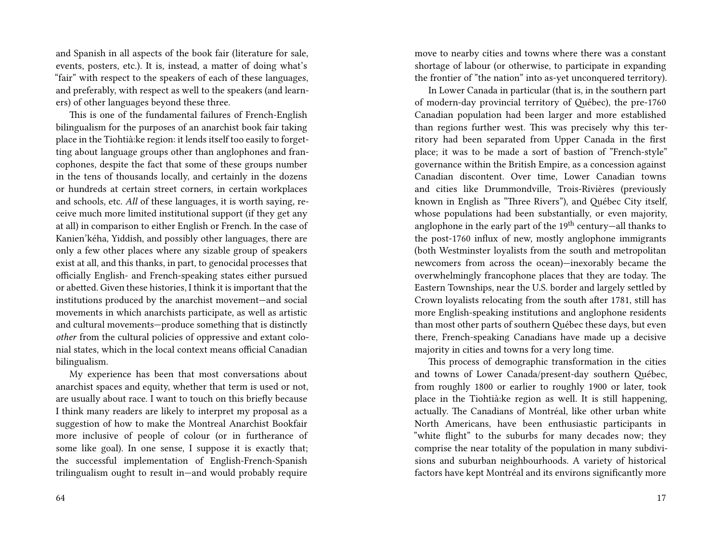and Spanish in all aspects of the book fair (literature for sale, events, posters, etc.). It is, instead, a matter of doing what's "fair" with respect to the speakers of each of these languages, and preferably, with respect as well to the speakers (and learners) of other languages beyond these three.

This is one of the fundamental failures of French-English bilingualism for the purposes of an anarchist book fair taking place in the Tiohtià:ke region: it lends itself too easily to forgetting about language groups other than anglophones and francophones, despite the fact that some of these groups number in the tens of thousands locally, and certainly in the dozens or hundreds at certain street corners, in certain workplaces and schools, etc. *All* of these languages, it is worth saying, receive much more limited institutional support (if they get any at all) in comparison to either English or French. In the case of Kanien'kéha, Yiddish, and possibly other languages, there are only a few other places where any sizable group of speakers exist at all, and this thanks, in part, to genocidal processes that officially English- and French-speaking states either pursued or abetted. Given these histories, I think it is important that the institutions produced by the anarchist movement—and social movements in which anarchists participate, as well as artistic and cultural movements—produce something that is distinctly *other* from the cultural policies of oppressive and extant colonial states, which in the local context means official Canadian bilingualism.

My experience has been that most conversations about anarchist spaces and equity, whether that term is used or not, are usually about race. I want to touch on this briefly because I think many readers are likely to interpret my proposal as a suggestion of how to make the Montreal Anarchist Bookfair more inclusive of people of colour (or in furtherance of some like goal). In one sense, I suppose it is exactly that; the successful implementation of English-French-Spanish trilingualism ought to result in—and would probably require

move to nearby cities and towns where there was a constant shortage of labour (or otherwise, to participate in expanding the frontier of "the nation" into as-yet unconquered territory).

In Lower Canada in particular (that is, in the southern part of modern-day provincial territory of Québec), the pre-1760 Canadian population had been larger and more established than regions further west. This was precisely why this territory had been separated from Upper Canada in the first place; it was to be made a sort of bastion of "French-style" governance within the British Empire, as a concession against Canadian discontent. Over time, Lower Canadian towns and cities like Drummondville, Trois-Rivières (previously known in English as "Three Rivers"), and Québec City itself, whose populations had been substantially, or even majority, anglophone in the early part of the  $19<sup>th</sup>$  century-all thanks to the post-1760 influx of new, mostly anglophone immigrants (both Westminster loyalists from the south and metropolitan newcomers from across the ocean)—inexorably became the overwhelmingly francophone places that they are today. The Eastern Townships, near the U.S. border and largely settled by Crown loyalists relocating from the south after 1781, still has more English-speaking institutions and anglophone residents than most other parts of southern Québec these days, but even there, French-speaking Canadians have made up a decisive majority in cities and towns for a very long time.

This process of demographic transformation in the cities and towns of Lower Canada/present-day southern Québec, from roughly 1800 or earlier to roughly 1900 or later, took place in the Tiohtià:ke region as well. It is still happening, actually. The Canadians of Montréal, like other urban white North Americans, have been enthusiastic participants in "white flight" to the suburbs for many decades now; they comprise the near totality of the population in many subdivisions and suburban neighbourhoods. A variety of historical factors have kept Montréal and its environs significantly more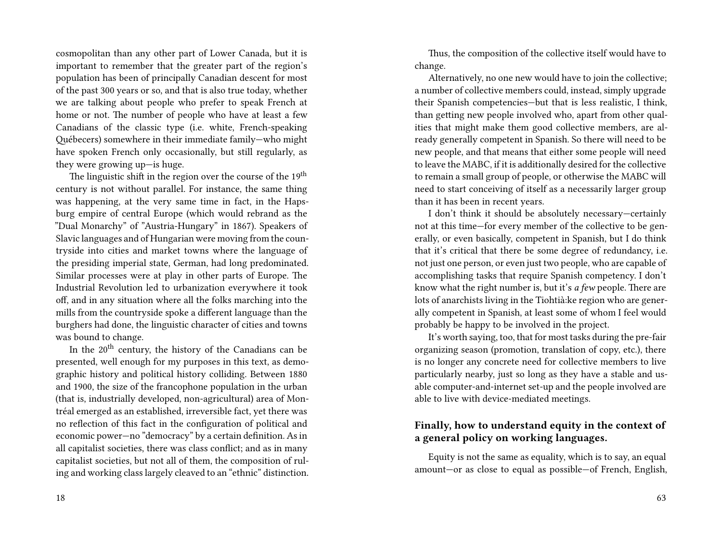cosmopolitan than any other part of Lower Canada, but it is important to remember that the greater part of the region's population has been of principally Canadian descent for most of the past 300 years or so, and that is also true today, whether we are talking about people who prefer to speak French at home or not. The number of people who have at least a few Canadians of the classic type (i.e. white, French-speaking Québecers) somewhere in their immediate family—who might have spoken French only occasionally, but still regularly, as they were growing up—is huge.

The linguistic shift in the region over the course of the 19<sup>th</sup> century is not without parallel. For instance, the same thing was happening, at the very same time in fact, in the Hapsburg empire of central Europe (which would rebrand as the "Dual Monarchy" of "Austria-Hungary" in 1867). Speakers of Slavic languages and of Hungarian were moving from the countryside into cities and market towns where the language of the presiding imperial state, German, had long predominated. Similar processes were at play in other parts of Europe. The Industrial Revolution led to urbanization everywhere it took off, and in any situation where all the folks marching into the mills from the countryside spoke a different language than the burghers had done, the linguistic character of cities and towns was bound to change.

In the 20th century, the history of the Canadians can be presented, well enough for my purposes in this text, as demographic history and political history colliding. Between 1880 and 1900, the size of the francophone population in the urban (that is, industrially developed, non-agricultural) area of Montréal emerged as an established, irreversible fact, yet there was no reflection of this fact in the configuration of political and economic power—no "democracy" by a certain definition. As in all capitalist societies, there was class conflict; and as in many capitalist societies, but not all of them, the composition of ruling and working class largely cleaved to an "ethnic" distinction.

18

Thus, the composition of the collective itself would have to change.

Alternatively, no one new would have to join the collective; a number of collective members could, instead, simply upgrade their Spanish competencies—but that is less realistic, I think, than getting new people involved who, apart from other qualities that might make them good collective members, are already generally competent in Spanish. So there will need to be new people, and that means that either some people will need to leave the MABC, if it is additionally desired for the collective to remain a small group of people, or otherwise the MABC will need to start conceiving of itself as a necessarily larger group than it has been in recent years.

I don't think it should be absolutely necessary—certainly not at this time—for every member of the collective to be generally, or even basically, competent in Spanish, but I do think that it's critical that there be some degree of redundancy, i.e. not just one person, or even just two people, who are capable of accomplishing tasks that require Spanish competency. I don't know what the right number is, but it's *a few* people. There are lots of anarchists living in the Tiohtià:ke region who are generally competent in Spanish, at least some of whom I feel would probably be happy to be involved in the project.

It's worth saying, too, that for most tasks during the pre-fair organizing season (promotion, translation of copy, etc.), there is no longer any concrete need for collective members to live particularly nearby, just so long as they have a stable and usable computer-and-internet set-up and the people involved are able to live with device-mediated meetings.

#### **Finally, how to understand equity in the context of a general policy on working languages.**

Equity is not the same as equality, which is to say, an equal amount—or as close to equal as possible—of French, English,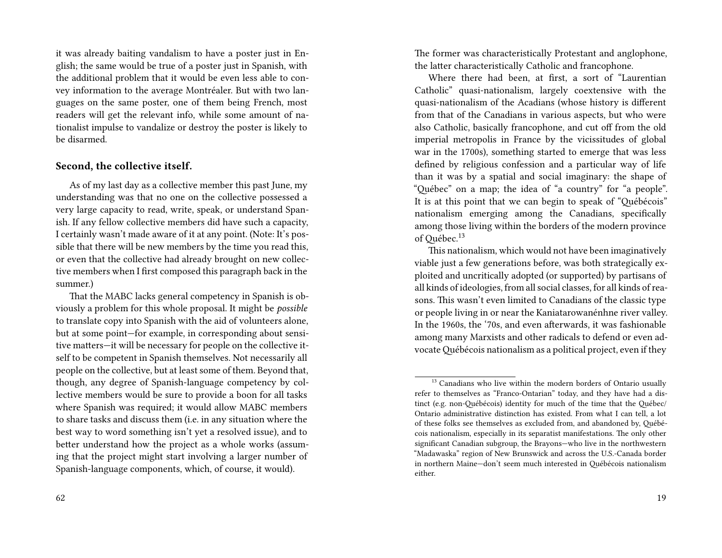it was already baiting vandalism to have a poster just in English; the same would be true of a poster just in Spanish, with the additional problem that it would be even less able to convey information to the average Montréaler. But with two languages on the same poster, one of them being French, most readers will get the relevant info, while some amount of nationalist impulse to vandalize or destroy the poster is likely to be disarmed.

#### **Second, the collective itself.**

As of my last day as a collective member this past June, my understanding was that no one on the collective possessed a very large capacity to read, write, speak, or understand Spanish. If any fellow collective members did have such a capacity, I certainly wasn't made aware of it at any point. (Note: It's possible that there will be new members by the time you read this, or even that the collective had already brought on new collective members when I first composed this paragraph back in the summer.)

That the MABC lacks general competency in Spanish is obviously a problem for this whole proposal. It might be *possible* to translate copy into Spanish with the aid of volunteers alone, but at some point—for example, in corresponding about sensitive matters—it will be necessary for people on the collective itself to be competent in Spanish themselves. Not necessarily all people on the collective, but at least some of them. Beyond that, though, any degree of Spanish-language competency by collective members would be sure to provide a boon for all tasks where Spanish was required; it would allow MABC members to share tasks and discuss them (i.e. in any situation where the best way to word something isn't yet a resolved issue), and to better understand how the project as a whole works (assuming that the project might start involving a larger number of Spanish-language components, which, of course, it would).

The former was characteristically Protestant and anglophone, the latter characteristically Catholic and francophone.

Where there had been, at first, a sort of "Laurentian Catholic" quasi-nationalism, largely coextensive with the quasi-nationalism of the Acadians (whose history is different from that of the Canadians in various aspects, but who were also Catholic, basically francophone, and cut off from the old imperial metropolis in France by the vicissitudes of global war in the 1700s), something started to emerge that was less defined by religious confession and a particular way of life than it was by a spatial and social imaginary: the shape of "Québec" on a map; the idea of "a country" for "a people". It is at this point that we can begin to speak of "Québécois" nationalism emerging among the Canadians, specifically among those living within the borders of the modern province of Québec.<sup>13</sup>

This nationalism, which would not have been imaginatively viable just a few generations before, was both strategically exploited and uncritically adopted (or supported) by partisans of all kinds of ideologies, from all social classes, for all kinds of reasons. This wasn't even limited to Canadians of the classic type or people living in or near the Kaniatarowanénhne river valley. In the 1960s, the '70s, and even afterwards, it was fashionable among many Marxists and other radicals to defend or even advocateQuébécois nationalism as a political project, even if they

<sup>&</sup>lt;sup>13</sup> Canadians who live within the modern borders of Ontario usually refer to themselves as "Franco-Ontarian" today, and they have had a distinct (e.g. non-Québécois) identity for much of the time that the Québec/ Ontario administrative distinction has existed. From what I can tell, a lot of these folks see themselves as excluded from, and abandoned by, Québécois nationalism, especially in its separatist manifestations. The only other significant Canadian subgroup, the Brayons—who live in the northwestern "Madawaska" region of New Brunswick and across the U.S.-Canada border in northern Maine—don't seem much interested in Québécois nationalism either.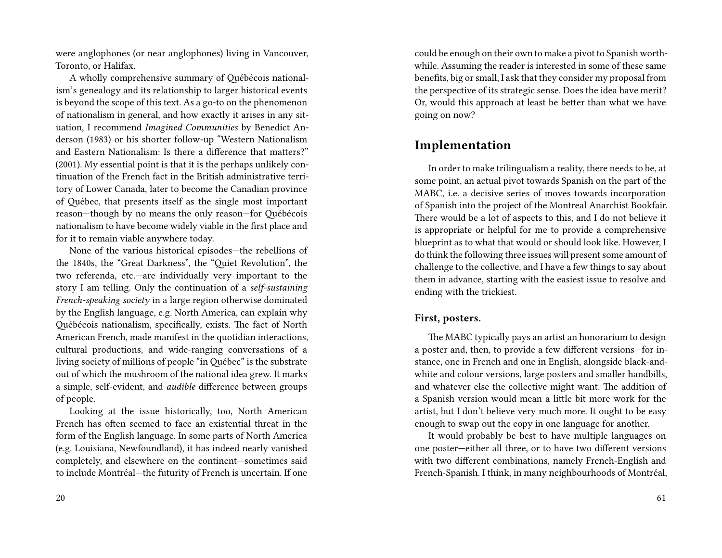were anglophones (or near anglophones) living in Vancouver, Toronto, or Halifax.

A wholly comprehensive summary of Québécois nationalism's genealogy and its relationship to larger historical events is beyond the scope of this text. As a go-to on the phenomenon of nationalism in general, and how exactly it arises in any situation, I recommend *Imagined Communities* by Benedict Anderson (1983) or his shorter follow-up "Western Nationalism and Eastern Nationalism: Is there a difference that matters?" (2001). My essential point is that it is the perhaps unlikely continuation of the French fact in the British administrative territory of Lower Canada, later to become the Canadian province of Québec, that presents itself as the single most important reason—though by no means the only reason—for Québécois nationalism to have become widely viable in the first place and for it to remain viable anywhere today.

None of the various historical episodes—the rebellions of the 1840s, the "Great Darkness", the "Quiet Revolution", the two referenda, etc.—are individually very important to the story I am telling. Only the continuation of a *self-sustaining French-speaking society* in a large region otherwise dominated by the English language, e.g. North America, can explain why Québécois nationalism, specifically, exists. The fact of North American French, made manifest in the quotidian interactions, cultural productions, and wide-ranging conversations of a living society of millions of people "in Québec" is the substrate out of which the mushroom of the national idea grew. It marks a simple, self-evident, and *audible* difference between groups of people.

Looking at the issue historically, too, North American French has often seemed to face an existential threat in the form of the English language. In some parts of North America (e.g. Louisiana, Newfoundland), it has indeed nearly vanished completely, and elsewhere on the continent—sometimes said to include Montréal—the futurity of French is uncertain. If one could be enough on their own to make a pivot to Spanish worthwhile. Assuming the reader is interested in some of these same benefits, big or small, I ask that they consider my proposal from the perspective of its strategic sense. Does the idea have merit? Or, would this approach at least be better than what we have going on now?

### **Implementation**

In order to make trilingualism a reality, there needs to be, at some point, an actual pivot towards Spanish on the part of the MABC, i.e. a decisive series of moves towards incorporation of Spanish into the project of the Montreal Anarchist Bookfair. There would be a lot of aspects to this, and I do not believe it is appropriate or helpful for me to provide a comprehensive blueprint as to what that would or should look like. However, I do think the following three issues will present some amount of challenge to the collective, and I have a few things to say about them in advance, starting with the easiest issue to resolve and ending with the trickiest.

#### **First, posters.**

The MABC typically pays an artist an honorarium to design a poster and, then, to provide a few different versions—for instance, one in French and one in English, alongside black-andwhite and colour versions, large posters and smaller handbills, and whatever else the collective might want. The addition of a Spanish version would mean a little bit more work for the artist, but I don't believe very much more. It ought to be easy enough to swap out the copy in one language for another.

It would probably be best to have multiple languages on one poster—either all three, or to have two different versions with two different combinations, namely French-English and French-Spanish. I think, in many neighbourhoods of Montréal,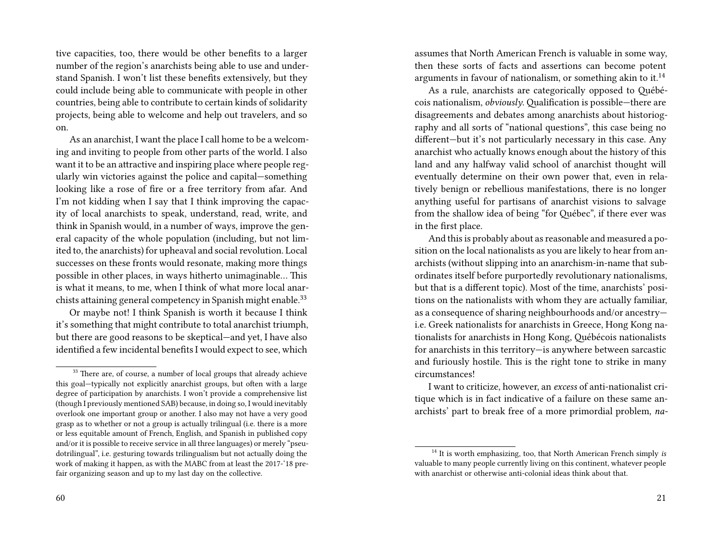tive capacities, too, there would be other benefits to a larger number of the region's anarchists being able to use and understand Spanish. I won't list these benefits extensively, but they could include being able to communicate with people in other countries, being able to contribute to certain kinds of solidarity projects, being able to welcome and help out travelers, and so on.

As an anarchist, I want the place I call home to be a welcoming and inviting to people from other parts of the world. I also want it to be an attractive and inspiring place where people regularly win victories against the police and capital—something looking like a rose of fire or a free territory from afar. And I'm not kidding when I say that I think improving the capacity of local anarchists to speak, understand, read, write, and think in Spanish would, in a number of ways, improve the general capacity of the whole population (including, but not limited to, the anarchists) for upheaval and social revolution. Local successes on these fronts would resonate, making more things possible in other places, in ways hitherto unimaginable… This is what it means, to me, when I think of what more local anarchists attaining general competency in Spanish might enable.<sup>33</sup>

Or maybe not! I think Spanish is worth it because I think it's something that might contribute to total anarchist triumph, but there are good reasons to be skeptical—and yet, I have also identified a few incidental benefits I would expect to see, which

assumes that North American French is valuable in some way, then these sorts of facts and assertions can become potent arguments in favour of nationalism, or something akin to it.<sup>14</sup>

As a rule, anarchists are categorically opposed to Québécois nationalism, *obviously*. Qualification is possible—there are disagreements and debates among anarchists about historiography and all sorts of "national questions", this case being no different—but it's not particularly necessary in this case. Any anarchist who actually knows enough about the history of this land and any halfway valid school of anarchist thought will eventually determine on their own power that, even in relatively benign or rebellious manifestations, there is no longer anything useful for partisans of anarchist visions to salvage from the shallow idea of being "for Québec", if there ever was in the first place.

And this is probably about as reasonable and measured a position on the local nationalists as you are likely to hear from anarchists (without slipping into an anarchism-in-name that subordinates itself before purportedly revolutionary nationalisms, but that is a different topic). Most of the time, anarchists' positions on the nationalists with whom they are actually familiar, as a consequence of sharing neighbourhoods and/or ancestry i.e. Greek nationalists for anarchists in Greece, Hong Kong nationalists for anarchists in Hong Kong, Québécois nationalists for anarchists in this territory—is anywhere between sarcastic and furiously hostile. This is the right tone to strike in many circumstances!

I want to criticize, however, an *excess* of anti-nationalist critique which is in fact indicative of a failure on these same anarchists' part to break free of a more primordial problem, *na-*

<sup>&</sup>lt;sup>33</sup> There are, of course, a number of local groups that already achieve this goal—typically not explicitly anarchist groups, but often with a large degree of participation by anarchists. I won't provide a comprehensive list (though I previously mentioned SAB) because, in doing so, I would inevitably overlook one important group or another. I also may not have a very good grasp as to whether or not a group is actually trilingual (i.e. there is a more or less equitable amount of French, English, and Spanish in published copy and/or it is possible to receive service in all three languages) or merely "pseudotrilingual", i.e. gesturing towards trilingualism but not actually doing the work of making it happen, as with the MABC from at least the 2017-'18 prefair organizing season and up to my last day on the collective.

<sup>14</sup> It is worth emphasizing, too, that North American French simply *is* valuable to many people currently living on this continent, whatever people with anarchist or otherwise anti-colonial ideas think about that.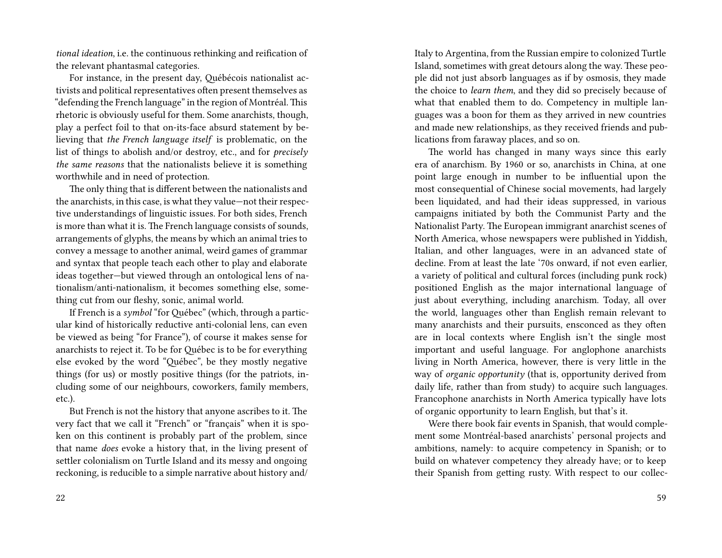*tional ideation*, i.e. the continuous rethinking and reification of the relevant phantasmal categories.

For instance, in the present day, Québécois nationalist activists and political representatives often present themselves as "defending the French language" in the region of Montréal. This rhetoric is obviously useful for them. Some anarchists, though, play a perfect foil to that on-its-face absurd statement by believing that *the French language itself* is problematic, on the list of things to abolish and/or destroy, etc., and for *precisely the same reasons* that the nationalists believe it is something worthwhile and in need of protection.

The only thing that is different between the nationalists and the anarchists, in this case, is what they value—not their respective understandings of linguistic issues. For both sides, French is more than what it is. The French language consists of sounds, arrangements of glyphs, the means by which an animal tries to convey a message to another animal, weird games of grammar and syntax that people teach each other to play and elaborate ideas together—but viewed through an ontological lens of nationalism/anti-nationalism, it becomes something else, something cut from our fleshy, sonic, animal world.

If French is a *symbol* "for Québec" (which, through a particular kind of historically reductive anti-colonial lens, can even be viewed as being "for France"), of course it makes sense for anarchists to reject it. To be for Québec is to be for everything else evoked by the word "Québec", be they mostly negative things (for us) or mostly positive things (for the patriots, including some of our neighbours, coworkers, family members, etc.).

But French is not the history that anyone ascribes to it. The very fact that we call it "French" or "français" when it is spoken on this continent is probably part of the problem, since that name *does* evoke a history that, in the living present of settler colonialism on Turtle Island and its messy and ongoing reckoning, is reducible to a simple narrative about history and/

Italy to Argentina, from the Russian empire to colonized Turtle Island, sometimes with great detours along the way. These people did not just absorb languages as if by osmosis, they made the choice to *learn them*, and they did so precisely because of what that enabled them to do. Competency in multiple languages was a boon for them as they arrived in new countries and made new relationships, as they received friends and publications from faraway places, and so on.

The world has changed in many ways since this early era of anarchism. By 1960 or so, anarchists in China, at one point large enough in number to be influential upon the most consequential of Chinese social movements, had largely been liquidated, and had their ideas suppressed, in various campaigns initiated by both the Communist Party and the Nationalist Party. The European immigrant anarchist scenes of North America, whose newspapers were published in Yiddish, Italian, and other languages, were in an advanced state of decline. From at least the late '70s onward, if not even earlier, a variety of political and cultural forces (including punk rock) positioned English as the major international language of just about everything, including anarchism. Today, all over the world, languages other than English remain relevant to many anarchists and their pursuits, ensconced as they often are in local contexts where English isn't the single most important and useful language. For anglophone anarchists living in North America, however, there is very little in the way of *organic opportunity* (that is, opportunity derived from daily life, rather than from study) to acquire such languages. Francophone anarchists in North America typically have lots of organic opportunity to learn English, but that's it.

Were there book fair events in Spanish, that would complement some Montréal-based anarchists' personal projects and ambitions, namely: to acquire competency in Spanish; or to build on whatever competency they already have; or to keep their Spanish from getting rusty. With respect to our collec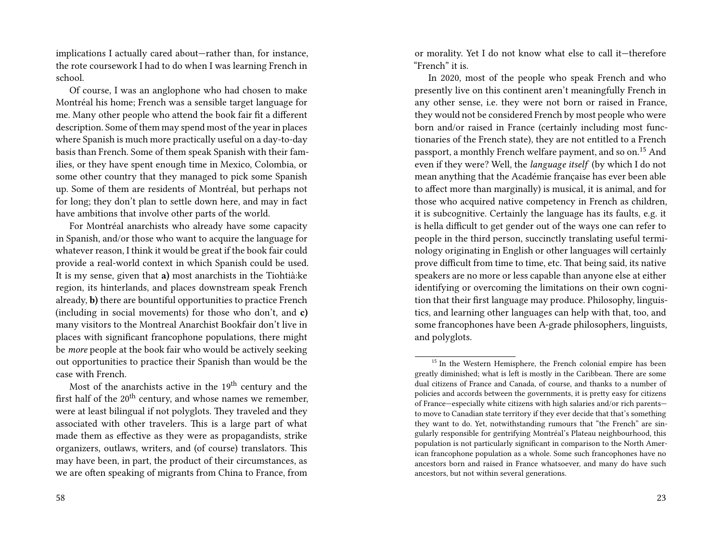implications I actually cared about—rather than, for instance, the rote coursework I had to do when I was learning French in school.

Of course, I was an anglophone who had chosen to make Montréal his home; French was a sensible target language for me. Many other people who attend the book fair fit a different description. Some of them may spend most of the year in places where Spanish is much more practically useful on a day-to-day basis than French. Some of them speak Spanish with their families, or they have spent enough time in Mexico, Colombia, or some other country that they managed to pick some Spanish up. Some of them are residents of Montréal, but perhaps not for long; they don't plan to settle down here, and may in fact have ambitions that involve other parts of the world.

For Montréal anarchists who already have some capacity in Spanish, and/or those who want to acquire the language for whatever reason, I think it would be great if the book fair could provide a real-world context in which Spanish could be used. It is my sense, given that **a)** most anarchists in the Tiohtià:ke region, its hinterlands, and places downstream speak French already, **b)** there are bountiful opportunities to practice French (including in social movements) for those who don't, and **c)** many visitors to the Montreal Anarchist Bookfair don't live in places with significant francophone populations, there might be *more* people at the book fair who would be actively seeking out opportunities to practice their Spanish than would be the case with French.

Most of the anarchists active in the  $19<sup>th</sup>$  century and the first half of the  $20<sup>th</sup>$  century, and whose names we remember, were at least bilingual if not polyglots. They traveled and they associated with other travelers. This is a large part of what made them as effective as they were as propagandists, strike organizers, outlaws, writers, and (of course) translators. This may have been, in part, the product of their circumstances, as we are often speaking of migrants from China to France, from

or morality. Yet I do not know what else to call it—therefore "French" it is.

In 2020, most of the people who speak French and who presently live on this continent aren't meaningfully French in any other sense, i.e. they were not born or raised in France, they would not be considered French by most people who were born and/or raised in France (certainly including most functionaries of the French state), they are not entitled to a French passport, a monthly French welfare payment, and so on.<sup>15</sup> And even if they were? Well, the *language itself* (by which I do not mean anything that the Académie française has ever been able to affect more than marginally) is musical, it is animal, and for those who acquired native competency in French as children, it is subcognitive. Certainly the language has its faults, e.g. it is hella difficult to get gender out of the ways one can refer to people in the third person, succinctly translating useful terminology originating in English or other languages will certainly prove difficult from time to time, etc. That being said, its native speakers are no more or less capable than anyone else at either identifying or overcoming the limitations on their own cognition that their first language may produce. Philosophy, linguistics, and learning other languages can help with that, too, and some francophones have been A-grade philosophers, linguists, and polyglots.

<sup>&</sup>lt;sup>15</sup> In the Western Hemisphere, the French colonial empire has been greatly diminished; what is left is mostly in the Caribbean. There are some dual citizens of France and Canada, of course, and thanks to a number of policies and accords between the governments, it is pretty easy for citizens of France—especially white citizens with high salaries and/or rich parents to move to Canadian state territory if they ever decide that that's something they want to do. Yet, notwithstanding rumours that "the French" are singularly responsible for gentrifying Montréal's Plateau neighbourhood, this population is not particularly significant in comparison to the North American francophone population as a whole. Some such francophones have no ancestors born and raised in France whatsoever, and many do have such ancestors, but not within several generations.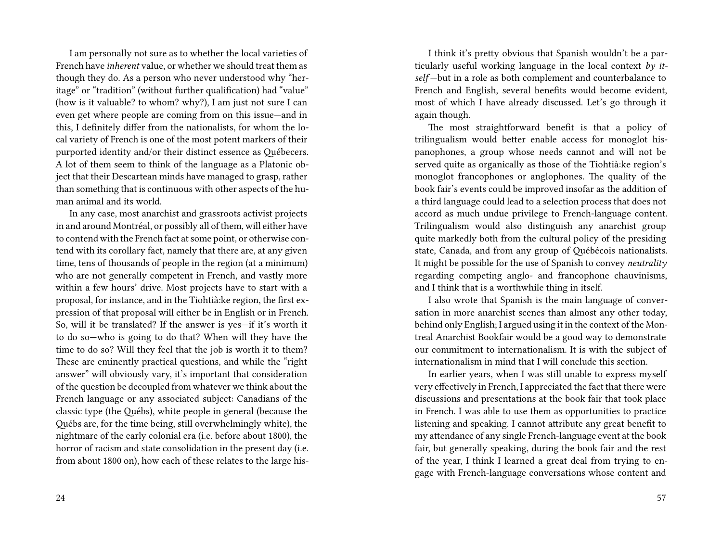I am personally not sure as to whether the local varieties of French have *inherent* value, or whether we should treat them as though they do. As a person who never understood why "heritage" or "tradition" (without further qualification) had "value" (how is it valuable? to whom? why?), I am just not sure I can even get where people are coming from on this issue—and in this, I definitely differ from the nationalists, for whom the local variety of French is one of the most potent markers of their purported identity and/or their distinct essence as Québecers. A lot of them seem to think of the language as a Platonic object that their Descartean minds have managed to grasp, rather than something that is continuous with other aspects of the human animal and its world.

In any case, most anarchist and grassroots activist projects in and around Montréal, or possibly all of them, will either have to contend with the French fact at some point, or otherwise contend with its corollary fact, namely that there are, at any given time, tens of thousands of people in the region (at a minimum) who are not generally competent in French, and vastly more within a few hours' drive. Most projects have to start with a proposal, for instance, and in the Tiohtià:ke region, the first expression of that proposal will either be in English or in French. So, will it be translated? If the answer is yes—if it's worth it to do so—who is going to do that? When will they have the time to do so? Will they feel that the job is worth it to them? These are eminently practical questions, and while the "right answer" will obviously vary, it's important that consideration of the question be decoupled from whatever we think about the French language or any associated subject: Canadians of the classic type (the Québs), white people in general (because the Québs are, for the time being, still overwhelmingly white), the nightmare of the early colonial era (i.e. before about 1800), the horror of racism and state consolidation in the present day (i.e. from about 1800 on), how each of these relates to the large his-

I think it's pretty obvious that Spanish wouldn't be a particularly useful working language in the local context *by itself* —but in a role as both complement and counterbalance to French and English, several benefits would become evident, most of which I have already discussed. Let's go through it again though.

The most straightforward benefit is that a policy of trilingualism would better enable access for monoglot hispanophones, a group whose needs cannot and will not be served quite as organically as those of the Tiohtià:ke region's monoglot francophones or anglophones. The quality of the book fair's events could be improved insofar as the addition of a third language could lead to a selection process that does not accord as much undue privilege to French-language content. Trilingualism would also distinguish any anarchist group quite markedly both from the cultural policy of the presiding state, Canada, and from any group of Québécois nationalists. It might be possible for the use of Spanish to convey *neutrality* regarding competing anglo- and francophone chauvinisms, and I think that is a worthwhile thing in itself.

I also wrote that Spanish is the main language of conversation in more anarchist scenes than almost any other today, behind only English; I argued using it in the context of the Montreal Anarchist Bookfair would be a good way to demonstrate our commitment to internationalism. It is with the subject of internationalism in mind that I will conclude this section.

In earlier years, when I was still unable to express myself very effectively in French, I appreciated the fact that there were discussions and presentations at the book fair that took place in French. I was able to use them as opportunities to practice listening and speaking. I cannot attribute any great benefit to my attendance of any single French-language event at the book fair, but generally speaking, during the book fair and the rest of the year, I think I learned a great deal from trying to engage with French-language conversations whose content and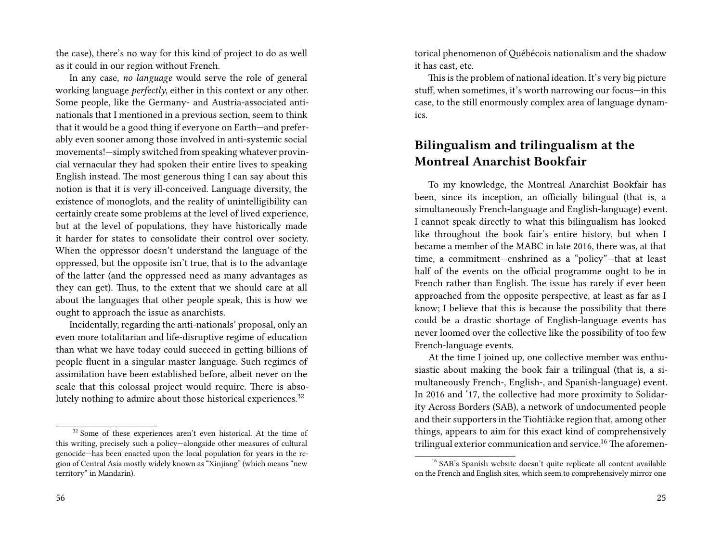the case), there's no way for this kind of project to do as well as it could in our region without French.

In any case, *no language* would serve the role of general working language *perfectly*, either in this context or any other. Some people, like the Germany- and Austria-associated antinationals that I mentioned in a previous section, seem to think that it would be a good thing if everyone on Earth—and preferably even sooner among those involved in anti-systemic social movements!—simply switched from speaking whatever provincial vernacular they had spoken their entire lives to speaking English instead. The most generous thing I can say about this notion is that it is very ill-conceived. Language diversity, the existence of monoglots, and the reality of unintelligibility can certainly create some problems at the level of lived experience, but at the level of populations, they have historically made it harder for states to consolidate their control over society. When the oppressor doesn't understand the language of the oppressed, but the opposite isn't true, that is to the advantage of the latter (and the oppressed need as many advantages as they can get). Thus, to the extent that we should care at all about the languages that other people speak, this is how we ought to approach the issue as anarchists.

Incidentally, regarding the anti-nationals' proposal, only an even more totalitarian and life-disruptive regime of education than what we have today could succeed in getting billions of people fluent in a singular master language. Such regimes of assimilation have been established before, albeit never on the scale that this colossal project would require. There is absolutely nothing to admire about those historical experiences.<sup>32</sup>

torical phenomenon of Québécois nationalism and the shadow it has cast, etc.

This is the problem of national ideation. It's very big picture stuff, when sometimes, it's worth narrowing our focus—in this case, to the still enormously complex area of language dynamics.

## **Bilingualism and trilingualism at the Montreal Anarchist Bookfair**

To my knowledge, the Montreal Anarchist Bookfair has been, since its inception, an officially bilingual (that is, a simultaneously French-language and English-language) event. I cannot speak directly to what this bilingualism has looked like throughout the book fair's entire history, but when I became a member of the MABC in late 2016, there was, at that time, a commitment—enshrined as a "policy"—that at least half of the events on the official programme ought to be in French rather than English. The issue has rarely if ever been approached from the opposite perspective, at least as far as I know; I believe that this is because the possibility that there could be a drastic shortage of English-language events has never loomed over the collective like the possibility of too few French-language events.

At the time I joined up, one collective member was enthusiastic about making the book fair a trilingual (that is, a simultaneously French-, English-, and Spanish-language) event. In 2016 and '17, the collective had more proximity to Solidarity Across Borders (SAB), a network of undocumented people and their supporters in the Tiohtià:ke region that, among other things, appears to aim for this exact kind of comprehensively trilingual exterior communication and service.<sup>16</sup> The aforemen-

 $32$  Some of these experiences aren't even historical. At the time of this writing, precisely such a policy—alongside other measures of cultural genocide—has been enacted upon the local population for years in the region of Central Asia mostly widely known as "Xinjiang" (which means "new territory" in Mandarin).

<sup>&</sup>lt;sup>16</sup> SAB's Spanish website doesn't quite replicate all content available on the French and English sites, which seem to comprehensively mirror one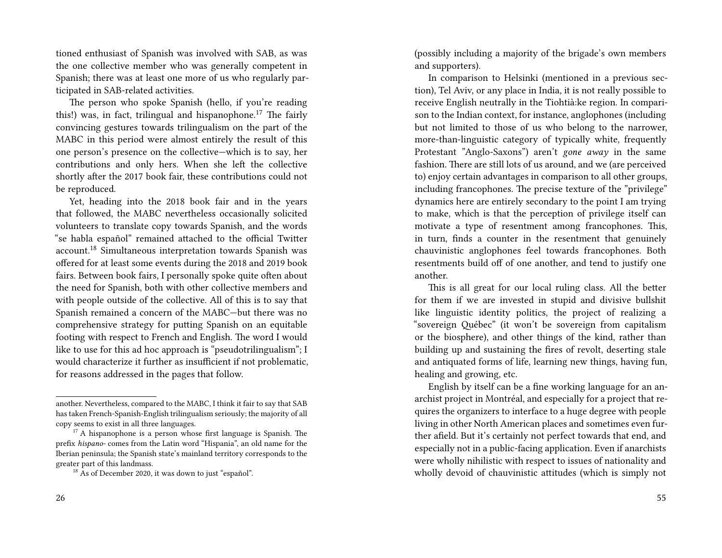tioned enthusiast of Spanish was involved with SAB, as was the one collective member who was generally competent in Spanish; there was at least one more of us who regularly participated in SAB-related activities.

The person who spoke Spanish (hello, if you're reading this!) was, in fact, trilingual and hispanophone.<sup>17</sup> The fairly convincing gestures towards trilingualism on the part of the MABC in this period were almost entirely the result of this one person's presence on the collective—which is to say, her contributions and only hers. When she left the collective shortly after the 2017 book fair, these contributions could not be reproduced.

Yet, heading into the 2018 book fair and in the years that followed, the MABC nevertheless occasionally solicited volunteers to translate copy towards Spanish, and the words "se habla español" remained attached to the official Twitter account.<sup>18</sup> Simultaneous interpretation towards Spanish was offered for at least some events during the 2018 and 2019 book fairs. Between book fairs, I personally spoke quite often about the need for Spanish, both with other collective members and with people outside of the collective. All of this is to say that Spanish remained a concern of the MABC—but there was no comprehensive strategy for putting Spanish on an equitable footing with respect to French and English. The word I would like to use for this ad hoc approach is "pseudotrilingualism"; I would characterize it further as insufficient if not problematic, for reasons addressed in the pages that follow.

(possibly including a majority of the brigade's own members and supporters).

In comparison to Helsinki (mentioned in a previous section), Tel Aviv, or any place in India, it is not really possible to receive English neutrally in the Tiohtià:ke region. In comparison to the Indian context, for instance, anglophones (including but not limited to those of us who belong to the narrower, more-than-linguistic category of typically white, frequently Protestant "Anglo-Saxons") aren't *gone away* in the same fashion. There are still lots of us around, and we (are perceived to) enjoy certain advantages in comparison to all other groups, including francophones. The precise texture of the "privilege" dynamics here are entirely secondary to the point I am trying to make, which is that the perception of privilege itself can motivate a type of resentment among francophones. This, in turn, finds a counter in the resentment that genuinely chauvinistic anglophones feel towards francophones. Both resentments build off of one another, and tend to justify one another.

This is all great for our local ruling class. All the better for them if we are invested in stupid and divisive bullshit like linguistic identity politics, the project of realizing a "sovereign Québec" (it won't be sovereign from capitalism or the biosphere), and other things of the kind, rather than building up and sustaining the fires of revolt, deserting stale and antiquated forms of life, learning new things, having fun, healing and growing, etc.

English by itself can be a fine working language for an anarchist project in Montréal, and especially for a project that requires the organizers to interface to a huge degree with people living in other North American places and sometimes even further afield. But it's certainly not perfect towards that end, and especially not in a public-facing application. Even if anarchists were wholly nihilistic with respect to issues of nationality and wholly devoid of chauvinistic attitudes (which is simply not

another. Nevertheless, compared to the MABC, I think it fair to say that SAB has taken French-Spanish-English trilingualism seriously; the majority of all copy seems to exist in all three languages.

 $17$  A hispanophone is a person whose first language is Spanish. The prefix *hispano-* comes from the Latin word "Hispania", an old name for the Iberian peninsula; the Spanish state's mainland territory corresponds to the greater part of this landmass.

<sup>&</sup>lt;sup>18</sup> As of December 2020, it was down to just "español".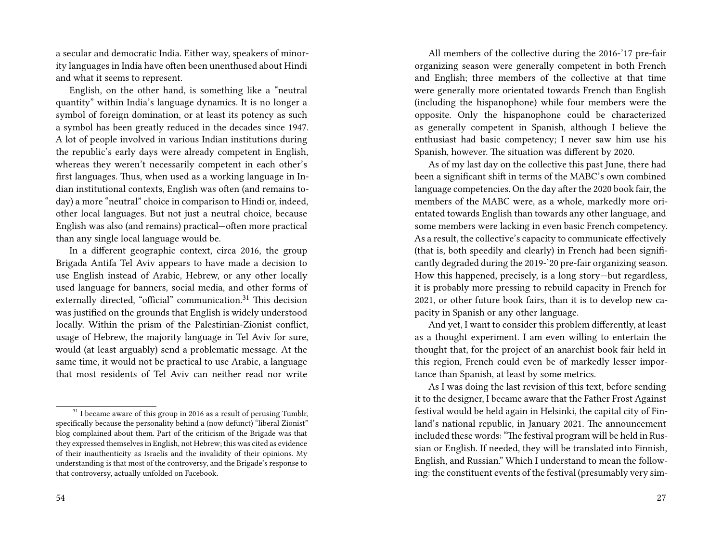a secular and democratic India. Either way, speakers of minority languages in India have often been unenthused about Hindi and what it seems to represent.

English, on the other hand, is something like a "neutral quantity" within India's language dynamics. It is no longer a symbol of foreign domination, or at least its potency as such a symbol has been greatly reduced in the decades since 1947. A lot of people involved in various Indian institutions during the republic's early days were already competent in English, whereas they weren't necessarily competent in each other's first languages. Thus, when used as a working language in Indian institutional contexts, English was often (and remains today) a more "neutral" choice in comparison to Hindi or, indeed, other local languages. But not just a neutral choice, because English was also (and remains) practical—often more practical than any single local language would be.

In a different geographic context, circa 2016, the group Brigada Antifa Tel Aviv appears to have made a decision to use English instead of Arabic, Hebrew, or any other locally used language for banners, social media, and other forms of externally directed, "official" communication.<sup>31</sup> This decision was justified on the grounds that English is widely understood locally. Within the prism of the Palestinian-Zionist conflict, usage of Hebrew, the majority language in Tel Aviv for sure, would (at least arguably) send a problematic message. At the same time, it would not be practical to use Arabic, a language that most residents of Tel Aviv can neither read nor write

All members of the collective during the 2016-'17 pre-fair organizing season were generally competent in both French and English; three members of the collective at that time were generally more orientated towards French than English (including the hispanophone) while four members were the opposite. Only the hispanophone could be characterized as generally competent in Spanish, although I believe the enthusiast had basic competency; I never saw him use his Spanish, however. The situation was different by 2020.

As of my last day on the collective this past June, there had been a significant shift in terms of the MABC's own combined language competencies. On the day after the 2020 book fair, the members of the MABC were, as a whole, markedly more orientated towards English than towards any other language, and some members were lacking in even basic French competency. As a result, the collective's capacity to communicate effectively (that is, both speedily and clearly) in French had been significantly degraded during the 2019-'20 pre-fair organizing season. How this happened, precisely, is a long story—but regardless, it is probably more pressing to rebuild capacity in French for 2021, or other future book fairs, than it is to develop new capacity in Spanish or any other language.

And yet, I want to consider this problem differently, at least as a thought experiment. I am even willing to entertain the thought that, for the project of an anarchist book fair held in this region, French could even be of markedly lesser importance than Spanish, at least by some metrics.

As I was doing the last revision of this text, before sending it to the designer, I became aware that the Father Frost Against festival would be held again in Helsinki, the capital city of Finland's national republic, in January 2021. The announcement included these words: "The festival program will be held in Russian or English. If needed, they will be translated into Finnish, English, and Russian." Which I understand to mean the following: the constituent events of the festival (presumably very sim-

 $^{\rm 31}$  I became aware of this group in 2016 as a result of perusing Tumblr, specifically because the personality behind a (now defunct) "liberal Zionist" blog complained about them. Part of the criticism of the Brigade was that they expressed themselves in English, not Hebrew; this was cited as evidence of their inauthenticity as Israelis and the invalidity of their opinions. My understanding is that most of the controversy, and the Brigade's response to that controversy, actually unfolded on Facebook.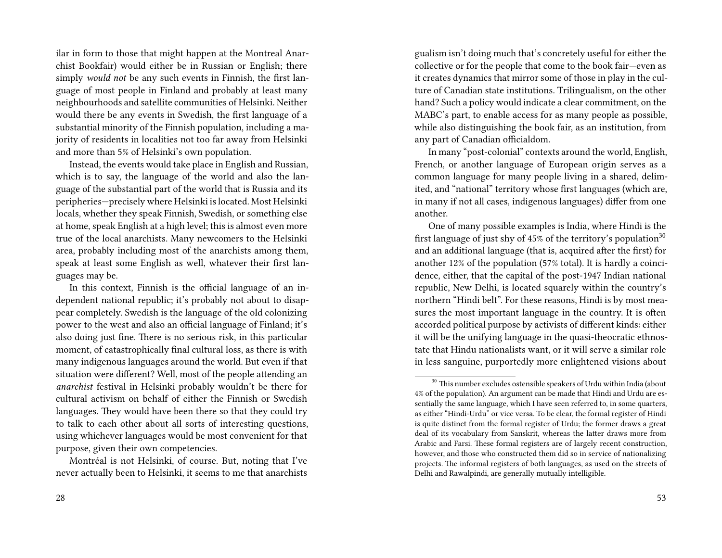ilar in form to those that might happen at the Montreal Anarchist Bookfair) would either be in Russian or English; there simply *would not* be any such events in Finnish, the first language of most people in Finland and probably at least many neighbourhoods and satellite communities of Helsinki. Neither would there be any events in Swedish, the first language of a substantial minority of the Finnish population, including a majority of residents in localities not too far away from Helsinki and more than 5% of Helsinki's own population.

Instead, the events would take place in English and Russian, which is to say, the language of the world and also the language of the substantial part of the world that is Russia and its peripheries—precisely where Helsinki is located. Most Helsinki locals, whether they speak Finnish, Swedish, or something else at home, speak English at a high level; this is almost even more true of the local anarchists. Many newcomers to the Helsinki area, probably including most of the anarchists among them, speak at least some English as well, whatever their first languages may be.

In this context, Finnish is the official language of an independent national republic; it's probably not about to disappear completely. Swedish is the language of the old colonizing power to the west and also an official language of Finland; it's also doing just fine. There is no serious risk, in this particular moment, of catastrophically final cultural loss, as there is with many indigenous languages around the world. But even if that situation were different? Well, most of the people attending an *anarchist* festival in Helsinki probably wouldn't be there for cultural activism on behalf of either the Finnish or Swedish languages. They would have been there so that they could try to talk to each other about all sorts of interesting questions, using whichever languages would be most convenient for that purpose, given their own competencies.

Montréal is not Helsinki, of course. But, noting that I've never actually been to Helsinki, it seems to me that anarchists gualism isn't doing much that's concretely useful for either the collective or for the people that come to the book fair—even as it creates dynamics that mirror some of those in play in the culture of Canadian state institutions. Trilingualism, on the other hand? Such a policy would indicate a clear commitment, on the MABC's part, to enable access for as many people as possible, while also distinguishing the book fair, as an institution, from any part of Canadian officialdom.

In many "post-colonial" contexts around the world, English, French, or another language of European origin serves as a common language for many people living in a shared, delimited, and "national" territory whose first languages (which are, in many if not all cases, indigenous languages) differ from one another.

One of many possible examples is India, where Hindi is the first language of just shy of  $45\%$  of the territory's population<sup>30</sup> and an additional language (that is, acquired after the first) for another 12% of the population (57% total). It is hardly a coincidence, either, that the capital of the post-1947 Indian national republic, New Delhi, is located squarely within the country's northern "Hindi belt". For these reasons, Hindi is by most measures the most important language in the country. It is often accorded political purpose by activists of different kinds: either it will be the unifying language in the quasi-theocratic ethnostate that Hindu nationalists want, or it will serve a similar role in less sanguine, purportedly more enlightened visions about

<sup>&</sup>lt;sup>30</sup> This number excludes ostensible speakers of Urdu within India (about 4% of the population). An argument can be made that Hindi and Urdu are essentially the same language, which I have seen referred to, in some quarters, as either "Hindi-Urdu" or vice versa. To be clear, the formal register of Hindi is quite distinct from the formal register of Urdu; the former draws a great deal of its vocabulary from Sanskrit, whereas the latter draws more from Arabic and Farsi. These formal registers are of largely recent construction, however, and those who constructed them did so in service of nationalizing projects. The informal registers of both languages, as used on the streets of Delhi and Rawalpindi, are generally mutually intelligible.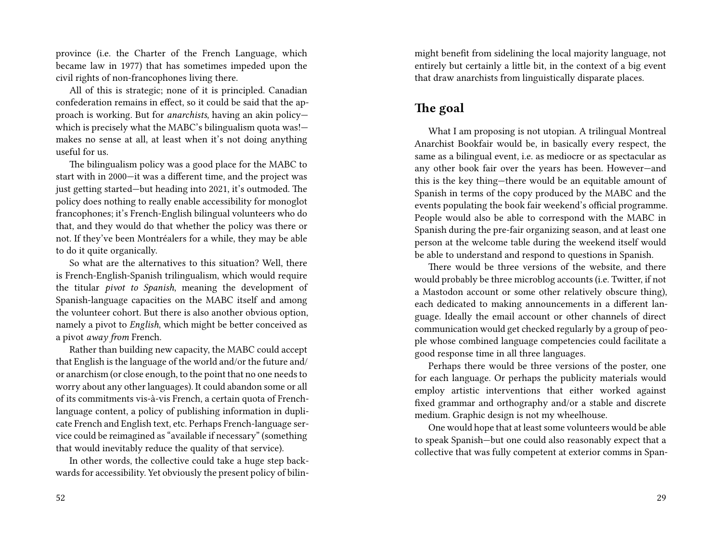province (i.e. the Charter of the French Language, which became law in 1977) that has sometimes impeded upon the civil rights of non-francophones living there.

All of this is strategic; none of it is principled. Canadian confederation remains in effect, so it could be said that the approach is working. But for *anarchists*, having an akin policy which is precisely what the MABC's bilingualism quota was! makes no sense at all, at least when it's not doing anything useful for us.

The bilingualism policy was a good place for the MABC to start with in 2000—it was a different time, and the project was just getting started—but heading into 2021, it's outmoded. The policy does nothing to really enable accessibility for monoglot francophones; it's French-English bilingual volunteers who do that, and they would do that whether the policy was there or not. If they've been Montréalers for a while, they may be able to do it quite organically.

So what are the alternatives to this situation? Well, there is French-English-Spanish trilingualism, which would require the titular *pivot to Spanish*, meaning the development of Spanish-language capacities on the MABC itself and among the volunteer cohort. But there is also another obvious option, namely a pivot to *English*, which might be better conceived as a pivot *away from* French.

Rather than building new capacity, the MABC could accept that English is the language of the world and/or the future and/ or anarchism (or close enough, to the point that no one needs to worry about any other languages). It could abandon some or all of its commitments vis-à-vis French, a certain quota of Frenchlanguage content, a policy of publishing information in duplicate French and English text, etc. Perhaps French-language service could be reimagined as "available if necessary" (something that would inevitably reduce the quality of that service).

In other words, the collective could take a huge step backwards for accessibility. Yet obviously the present policy of bilinmight benefit from sidelining the local majority language, not entirely but certainly a little bit, in the context of a big event that draw anarchists from linguistically disparate places.

## **The goal**

What I am proposing is not utopian. A trilingual Montreal Anarchist Bookfair would be, in basically every respect, the same as a bilingual event, i.e. as mediocre or as spectacular as any other book fair over the years has been. However—and this is the key thing—there would be an equitable amount of Spanish in terms of the copy produced by the MABC and the events populating the book fair weekend's official programme. People would also be able to correspond with the MABC in Spanish during the pre-fair organizing season, and at least one person at the welcome table during the weekend itself would be able to understand and respond to questions in Spanish.

There would be three versions of the website, and there would probably be three microblog accounts (i.e. Twitter, if not a Mastodon account or some other relatively obscure thing), each dedicated to making announcements in a different language. Ideally the email account or other channels of direct communication would get checked regularly by a group of people whose combined language competencies could facilitate a good response time in all three languages.

Perhaps there would be three versions of the poster, one for each language. Or perhaps the publicity materials would employ artistic interventions that either worked against fixed grammar and orthography and/or a stable and discrete medium. Graphic design is not my wheelhouse.

One would hope that at least some volunteers would be able to speak Spanish—but one could also reasonably expect that a collective that was fully competent at exterior comms in Span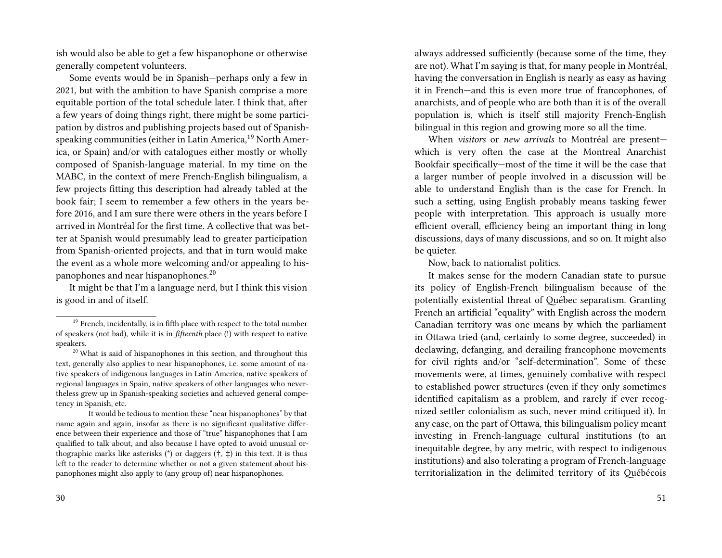ish would also be able to get a few hispanophone or otherwise generally competent volunteers.

Some events would be in Spanish—perhaps only a few in 2021, but with the ambition to have Spanish comprise a more equitable portion of the total schedule later. I think that, after a few years of doing things right, there might be some participation by distros and publishing projects based out of Spanishspeaking communities (either in Latin America,<sup>19</sup> North America, or Spain) and/or with catalogues either mostly or wholly composed of Spanish-language material. In my time on the MABC, in the context of mere French-English bilingualism, a few projects fitting this description had already tabled at the book fair; I seem to remember a few others in the years before 2016, and I am sure there were others in the years before I arrived in Montréal for the first time. A collective that was better at Spanish would presumably lead to greater participation from Spanish-oriented projects, and that in turn would make the event as a whole more welcoming and/or appealing to hispanophones and near hispanophones.<sup>20</sup>

It might be that I'm a language nerd, but I think this vision is good in and of itself.

always addressed sufficiently (because some of the time, they are not). What I'm saying is that, for many people in Montréal, having the conversation in English is nearly as easy as having it in French—and this is even more true of francophones, of anarchists, and of people who are both than it is of the overall population is, which is itself still majority French-English bilingual in this region and growing more so all the time.

When *visitors* or *new arrivals* to Montréal are present which is very often the case at the Montreal Anarchist Bookfair specifically—most of the time it will be the case that a larger number of people involved in a discussion will be able to understand English than is the case for French. In such a setting, using English probably means tasking fewer people with interpretation. This approach is usually more efficient overall, efficiency being an important thing in long discussions, days of many discussions, and so on. It might also be quieter.

Now, back to nationalist politics.

It makes sense for the modern Canadian state to pursue its policy of English-French bilingualism because of the potentially existential threat of Québec separatism. Granting French an artificial "equality" with English across the modern Canadian territory was one means by which the parliament in Ottawa tried (and, certainly to some degree, succeeded) in declawing, defanging, and derailing francophone movements for civil rights and/or "self-determination". Some of these movements were, at times, genuinely combative with respect to established power structures (even if they only sometimes identified capitalism as a problem, and rarely if ever recognized settler colonialism as such, never mind critiqued it). In any case, on the part of Ottawa, this bilingualism policy meant investing in French-language cultural institutions (to an inequitable degree, by any metric, with respect to indigenous institutions) and also tolerating a program of French-language territorialization in the delimited territory of its Québécois

<sup>&</sup>lt;sup>19</sup> French, incidentally, is in fifth place with respect to the total number of speakers (not bad), while it is in *fifteenth* place (!) with respect to native speakers.

 $20$  What is said of hispanophones in this section, and throughout this text, generally also applies to near hispanophones, i.e. some amount of native speakers of indigenous languages in Latin America, native speakers of regional languages in Spain, native speakers of other languages who nevertheless grew up in Spanish-speaking societies and achieved general competency in Spanish, etc.

It would be tedious to mention these "near hispanophones" by that name again and again, insofar as there is no significant qualitative difference between their experience and those of "true" hispanophones that I am qualified to talk about, and also because I have opted to avoid unusual orthographic marks like asterisks (\*) or daggers  $(\dagger, \dagger)$  in this text. It is thus left to the reader to determine whether or not a given statement about hispanophones might also apply to (any group of) near hispanophones.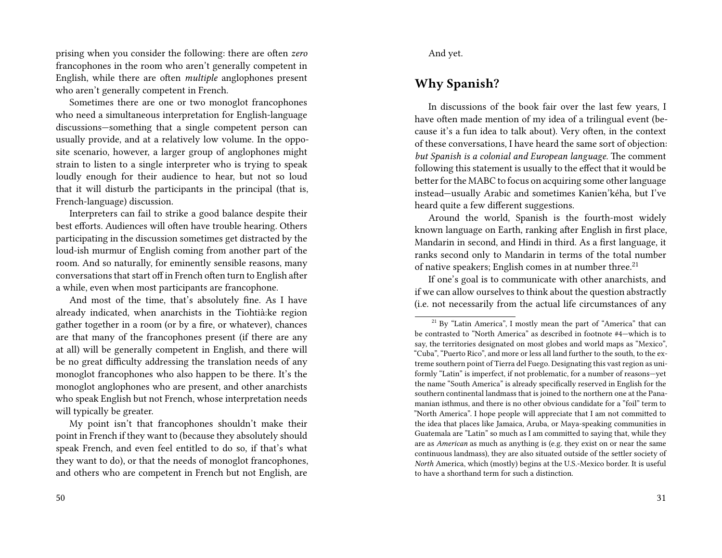prising when you consider the following: there are often *zero* francophones in the room who aren't generally competent in English, while there are often *multiple* anglophones present who aren't generally competent in French.

Sometimes there are one or two monoglot francophones who need a simultaneous interpretation for English-language discussions—something that a single competent person can usually provide, and at a relatively low volume. In the opposite scenario, however, a larger group of anglophones might strain to listen to a single interpreter who is trying to speak loudly enough for their audience to hear, but not so loud that it will disturb the participants in the principal (that is, French-language) discussion.

Interpreters can fail to strike a good balance despite their best efforts. Audiences will often have trouble hearing. Others participating in the discussion sometimes get distracted by the loud-ish murmur of English coming from another part of the room. And so naturally, for eminently sensible reasons, many conversations that start off in French often turn to English after a while, even when most participants are francophone.

And most of the time, that's absolutely fine. As I have already indicated, when anarchists in the Tiohtià:ke region gather together in a room (or by a fire, or whatever), chances are that many of the francophones present (if there are any at all) will be generally competent in English, and there will be no great difficulty addressing the translation needs of any monoglot francophones who also happen to be there. It's the monoglot anglophones who are present, and other anarchists who speak English but not French, whose interpretation needs will typically be greater.

My point isn't that francophones shouldn't make their point in French if they want to (because they absolutely should speak French, and even feel entitled to do so, if that's what they want to do), or that the needs of monoglot francophones, and others who are competent in French but not English, are

And yet.

## **Why Spanish?**

In discussions of the book fair over the last few years, I have often made mention of my idea of a trilingual event (because it's a fun idea to talk about). Very often, in the context of these conversations, I have heard the same sort of objection: *but Spanish is a colonial and European language*. The comment following this statement is usually to the effect that it would be better for the MABC to focus on acquiring some other language instead—usually Arabic and sometimes Kanien'kéha, but I've heard quite a few different suggestions.

Around the world, Spanish is the fourth-most widely known language on Earth, ranking after English in first place, Mandarin in second, and Hindi in third. As a first language, it ranks second only to Mandarin in terms of the total number of native speakers; English comes in at number three.<sup>21</sup>

If one's goal is to communicate with other anarchists, and if we can allow ourselves to think about the question abstractly (i.e. not necessarily from the actual life circumstances of any

<sup>&</sup>lt;sup>21</sup> By "Latin America", I mostly mean the part of "America" that can be contrasted to "North America" as described in footnote #4—which is to say, the territories designated on most globes and world maps as "Mexico", "Cuba", "Puerto Rico", and more or less all land further to the south, to the extreme southern point of Tierra del Fuego. Designating this vast region as uniformly "Latin" is imperfect, if not problematic, for a number of reasons—yet the name "South America" is already specifically reserved in English for the southern continental landmass that is joined to the northern one at the Panamanian isthmus, and there is no other obvious candidate for a "foil" term to "North America". I hope people will appreciate that I am not committed to the idea that places like Jamaica, Aruba, or Maya-speaking communities in Guatemala are "Latin" so much as I am committed to saying that, while they are as *American* as much as anything is (e.g. they exist on or near the same continuous landmass), they are also situated outside of the settler society of *North* America, which (mostly) begins at the U.S.-Mexico border. It is useful to have a shorthand term for such a distinction.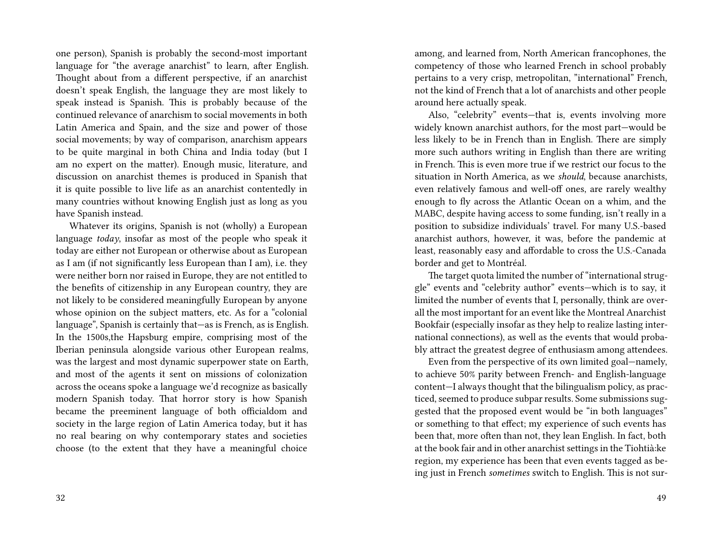one person), Spanish is probably the second-most important language for "the average anarchist" to learn, after English. Thought about from a different perspective, if an anarchist doesn't speak English, the language they are most likely to speak instead is Spanish. This is probably because of the continued relevance of anarchism to social movements in both Latin America and Spain, and the size and power of those social movements; by way of comparison, anarchism appears to be quite marginal in both China and India today (but I am no expert on the matter). Enough music, literature, and discussion on anarchist themes is produced in Spanish that it is quite possible to live life as an anarchist contentedly in many countries without knowing English just as long as you have Spanish instead.

Whatever its origins, Spanish is not (wholly) a European language *today*, insofar as most of the people who speak it today are either not European or otherwise about as European as I am (if not significantly less European than I am), i.e. they were neither born nor raised in Europe, they are not entitled to the benefits of citizenship in any European country, they are not likely to be considered meaningfully European by anyone whose opinion on the subject matters, etc. As for a "colonial language", Spanish is certainly that—as is French, as is English. In the 1500s,the Hapsburg empire, comprising most of the Iberian peninsula alongside various other European realms, was the largest and most dynamic superpower state on Earth, and most of the agents it sent on missions of colonization across the oceans spoke a language we'd recognize as basically modern Spanish today. That horror story is how Spanish became the preeminent language of both officialdom and society in the large region of Latin America today, but it has no real bearing on why contemporary states and societies choose (to the extent that they have a meaningful choice

among, and learned from, North American francophones, the competency of those who learned French in school probably pertains to a very crisp, metropolitan, "international" French, not the kind of French that a lot of anarchists and other people around here actually speak.

Also, "celebrity" events—that is, events involving more widely known anarchist authors, for the most part—would be less likely to be in French than in English. There are simply more such authors writing in English than there are writing in French. This is even more true if we restrict our focus to the situation in North America, as we *should*, because anarchists, even relatively famous and well-off ones, are rarely wealthy enough to fly across the Atlantic Ocean on a whim, and the MABC, despite having access to some funding, isn't really in a position to subsidize individuals' travel. For many U.S.-based anarchist authors, however, it was, before the pandemic at least, reasonably easy and affordable to cross the U.S.-Canada border and get to Montréal.

The target quota limited the number of "international struggle" events and "celebrity author" events—which is to say, it limited the number of events that I, personally, think are overall the most important for an event like the Montreal Anarchist Bookfair (especially insofar as they help to realize lasting international connections), as well as the events that would probably attract the greatest degree of enthusiasm among attendees.

Even from the perspective of its own limited goal—namely, to achieve 50% parity between French- and English-language content—I always thought that the bilingualism policy, as practiced, seemed to produce subpar results. Some submissions suggested that the proposed event would be "in both languages" or something to that effect; my experience of such events has been that, more often than not, they lean English. In fact, both at the book fair and in other anarchist settings in the Tiohtià:ke region, my experience has been that even events tagged as being just in French *sometimes* switch to English. This is not sur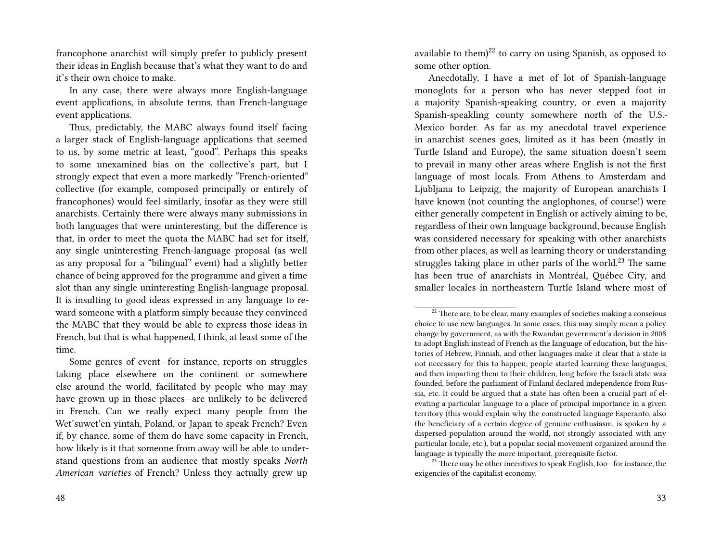francophone anarchist will simply prefer to publicly present their ideas in English because that's what they want to do and it's their own choice to make.

In any case, there were always more English-language event applications, in absolute terms, than French-language event applications.

Thus, predictably, the MABC always found itself facing a larger stack of English-language applications that seemed to us, by some metric at least, "good". Perhaps this speaks to some unexamined bias on the collective's part, but I strongly expect that even a more markedly "French-oriented" collective (for example, composed principally or entirely of francophones) would feel similarly, insofar as they were still anarchists. Certainly there were always many submissions in both languages that were uninteresting, but the difference is that, in order to meet the quota the MABC had set for itself, any single uninteresting French-language proposal (as well as any proposal for a "bilingual" event) had a slightly better chance of being approved for the programme and given a time slot than any single uninteresting English-language proposal. It is insulting to good ideas expressed in any language to reward someone with a platform simply because they convinced the MABC that they would be able to express those ideas in French, but that is what happened, I think, at least some of the time.

Some genres of event—for instance, reports on struggles taking place elsewhere on the continent or somewhere else around the world, facilitated by people who may may have grown up in those places—are unlikely to be delivered in French. Can we really expect many people from the Wet'suwet'en yintah, Poland, or Japan to speak French? Even if, by chance, some of them do have some capacity in French, how likely is it that someone from away will be able to understand questions from an audience that mostly speaks *North American varieties* of French? Unless they actually grew up

available to them) $^{22}$  to carry on using Spanish, as opposed to some other option.

Anecdotally, I have a met of lot of Spanish-language monoglots for a person who has never stepped foot in a majority Spanish-speaking country, or even a majority Spanish-speakling county somewhere north of the U.S.- Mexico border. As far as my anecdotal travel experience in anarchist scenes goes, limited as it has been (mostly in Turtle Island and Europe), the same situation doesn't seem to prevail in many other areas where English is not the first language of most locals. From Athens to Amsterdam and Ljubljana to Leipzig, the majority of European anarchists I have known (not counting the anglophones, of course!) were either generally competent in English or actively aiming to be, regardless of their own language background, because English was considered necessary for speaking with other anarchists from other places, as well as learning theory or understanding struggles taking place in other parts of the world.<sup>23</sup> The same has been true of anarchists in Montréal, Québec City, and smaller locales in northeastern Turtle Island where most of

<sup>23</sup> There may be other incentives to speak English, too-for instance, the exigencies of the capitalist economy.

 $22$  There are, to be clear, many examples of societies making a conscious choice to use new languages. In some cases, this may simply mean a policy change by government, as with the Rwandan government's decision in 2008 to adopt English instead of French as the language of education, but the histories of Hebrew, Finnish, and other languages make it clear that a state is not necessary for this to happen; people started learning these languages, and then imparting them to their children, long before the Israeli state was founded, before the parliament of Finland declared independence from Russia, etc. It could be argued that a state has often been a crucial part of elevating a particular language to a place of principal importance in a given territory (this would explain why the constructed language Esperanto, also the beneficiary of a certain degree of genuine enthusiasm, is spoken by a dispersed population around the world, not strongly associated with any particular locale, etc.), but a popular social movement organized around the language is typically the more important, prerequisite factor.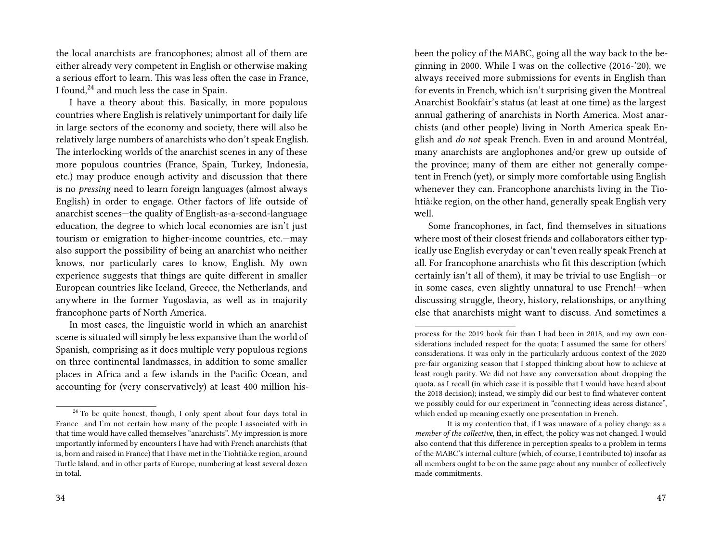the local anarchists are francophones; almost all of them are either already very competent in English or otherwise making a serious effort to learn. This was less often the case in France, I found,<sup>24</sup> and much less the case in Spain.

I have a theory about this. Basically, in more populous countries where English is relatively unimportant for daily life in large sectors of the economy and society, there will also be relatively large numbers of anarchists who don't speak English. The interlocking worlds of the anarchist scenes in any of these more populous countries (France, Spain, Turkey, Indonesia, etc.) may produce enough activity and discussion that there is no *pressing* need to learn foreign languages (almost always English) in order to engage. Other factors of life outside of anarchist scenes—the quality of English-as-a-second-language education, the degree to which local economies are isn't just tourism or emigration to higher-income countries, etc.—may also support the possibility of being an anarchist who neither knows, nor particularly cares to know, English. My own experience suggests that things are quite different in smaller European countries like Iceland, Greece, the Netherlands, and anywhere in the former Yugoslavia, as well as in majority francophone parts of North America.

In most cases, the linguistic world in which an anarchist scene is situated will simply be less expansive than the world of Spanish, comprising as it does multiple very populous regions on three continental landmasses, in addition to some smaller places in Africa and a few islands in the Pacific Ocean, and accounting for (very conservatively) at least 400 million hisbeen the policy of the MABC, going all the way back to the beginning in 2000. While I was on the collective (2016-'20), we always received more submissions for events in English than for events in French, which isn't surprising given the Montreal Anarchist Bookfair's status (at least at one time) as the largest annual gathering of anarchists in North America. Most anarchists (and other people) living in North America speak English and *do not* speak French. Even in and around Montréal, many anarchists are anglophones and/or grew up outside of the province; many of them are either not generally competent in French (yet), or simply more comfortable using English whenever they can. Francophone anarchists living in the Tiohtià:ke region, on the other hand, generally speak English very well.

Some francophones, in fact, find themselves in situations where most of their closest friends and collaborators either typically use English everyday or can't even really speak French at all. For francophone anarchists who fit this description (which certainly isn't all of them), it may be trivial to use English—or in some cases, even slightly unnatural to use French!—when discussing struggle, theory, history, relationships, or anything else that anarchists might want to discuss. And sometimes a

<sup>&</sup>lt;sup>24</sup> To be quite honest, though, I only spent about four days total in France—and I'm not certain how many of the people I associated with in that time would have called themselves "anarchists". My impression is more importantly informed by encounters I have had with French anarchists (that is, born and raised in France) that I have met in the Tiohtià:ke region, around Turtle Island, and in other parts of Europe, numbering at least several dozen in total.

process for the 2019 book fair than I had been in 2018, and my own considerations included respect for the quota; I assumed the same for others' considerations. It was only in the particularly arduous context of the 2020 pre-fair organizing season that I stopped thinking about how to achieve at least rough parity. We did not have any conversation about dropping the quota, as I recall (in which case it is possible that I would have heard about the 2018 decision); instead, we simply did our best to find whatever content we possibly could for our experiment in "connecting ideas across distance", which ended up meaning exactly one presentation in French.

It is my contention that, if I was unaware of a policy change as a *member of the collective*, then, in effect, the policy was not changed. I would also contend that this difference in perception speaks to a problem in terms of the MABC's internal culture (which, of course, I contributed to) insofar as all members ought to be on the same page about any number of collectively made commitments.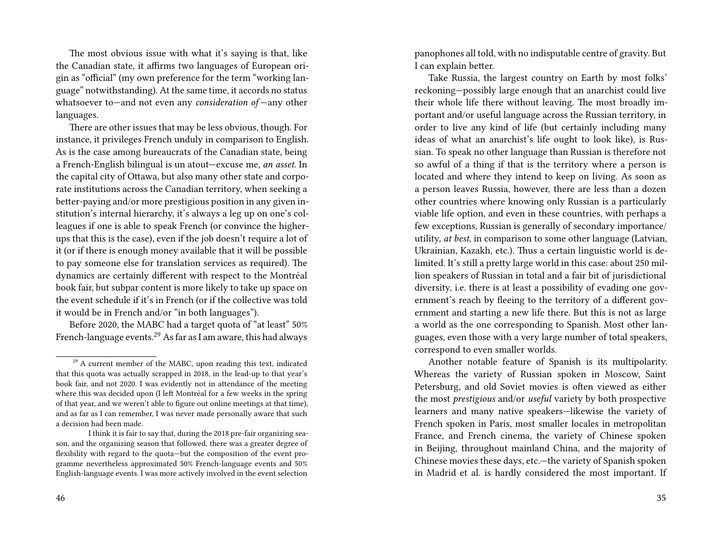The most obvious issue with what it's saying is that, like the Canadian state, it affirms two languages of European origin as "official" (my own preference for the term "working language" notwithstanding). At the same time, it accords no status whatsoever to—and not even any *consideration of* —any other languages.

There are other issues that may be less obvious, though. For instance, it privileges French unduly in comparison to English. As is the case among bureaucrats of the Canadian state, being a French-English bilingual is un atout—excuse me, *an asset*. In the capital city of Ottawa, but also many other state and corporate institutions across the Canadian territory, when seeking a better-paying and/or more prestigious position in any given institution's internal hierarchy, it's always a leg up on one's colleagues if one is able to speak French (or convince the higherups that this is the case), even if the job doesn't require a lot of it (or if there is enough money available that it will be possible to pay someone else for translation services as required). The dynamics are certainly different with respect to the Montréal book fair, but subpar content is more likely to take up space on the event schedule if it's in French (or if the collective was told it would be in French and/or "in both languages").

Before 2020, the MABC had a target quota of "at least" 50% French-language events.<sup>29</sup> As far as I am aware, this had always panophones all told, with no indisputable centre of gravity. But I can explain better.

Take Russia, the largest country on Earth by most folks' reckoning—possibly large enough that an anarchist could live their whole life there without leaving. The most broadly important and/or useful language across the Russian territory, in order to live any kind of life (but certainly including many ideas of what an anarchist's life ought to look like), is Russian. To speak no other language than Russian is therefore not so awful of a thing if that is the territory where a person is located and where they intend to keep on living. As soon as a person leaves Russia, however, there are less than a dozen other countries where knowing only Russian is a particularly viable life option, and even in these countries, with perhaps a few exceptions, Russian is generally of secondary importance/ utility, *at best*, in comparison to some other language (Latvian, Ukrainian, Kazakh, etc.). Thus a certain linguistic world is delimited. It's still a pretty large world in this case: about 250 million speakers of Russian in total and a fair bit of jurisdictional diversity, i.e. there is at least a possibility of evading one government's reach by fleeing to the territory of a different government and starting a new life there. But this is not as large a world as the one corresponding to Spanish. Most other languages, even those with a very large number of total speakers, correspond to even smaller worlds.

Another notable feature of Spanish is its multipolarity. Whereas the variety of Russian spoken in Moscow, Saint Petersburg, and old Soviet movies is often viewed as either the most *prestigious* and/or *useful* variety by both prospective learners and many native speakers—likewise the variety of French spoken in Paris, most smaller locales in metropolitan France, and French cinema, the variety of Chinese spoken in Beijing, throughout mainland China, and the majority of Chinese movies these days, etc.—the variety of Spanish spoken in Madrid et al. is hardly considered the most important. If

<sup>&</sup>lt;sup>29</sup> A current member of the MABC, upon reading this text, indicated that this quota was actually scrapped in 2018, in the lead-up to that year's book fair, and not 2020. I was evidently not in attendance of the meeting where this was decided upon (I left Montréal for a few weeks in the spring of that year, and we weren't able to figure out online meetings at that time), and as far as I can remember, I was never made personally aware that such a decision had been made.

I think it is fair to say that, during the 2018 pre-fair organizing season, and the organizing season that followed, there was a greater degree of flexibility with regard to the quota—but the composition of the event programme nevertheless approximated 50% French-language events and 50% English-language events. I was more actively involved in the event selection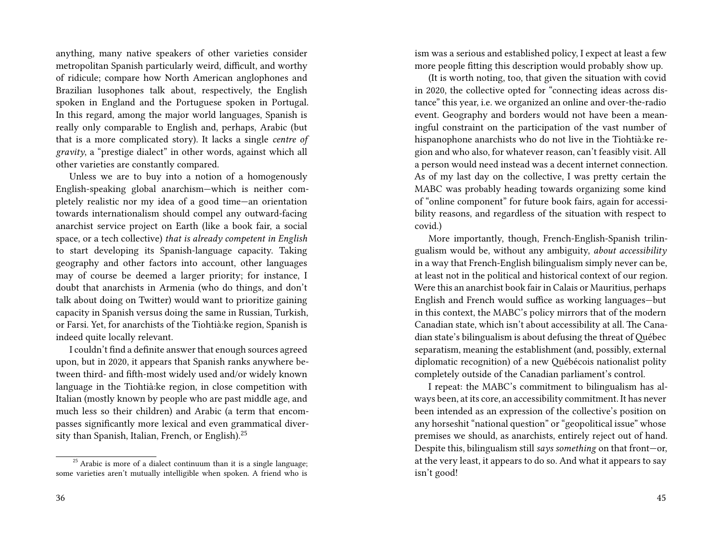anything, many native speakers of other varieties consider metropolitan Spanish particularly weird, difficult, and worthy of ridicule; compare how North American anglophones and Brazilian lusophones talk about, respectively, the English spoken in England and the Portuguese spoken in Portugal. In this regard, among the major world languages, Spanish is really only comparable to English and, perhaps, Arabic (but that is a more complicated story). It lacks a single *centre of gravity*, a "prestige dialect" in other words, against which all other varieties are constantly compared.

Unless we are to buy into a notion of a homogenously English-speaking global anarchism—which is neither completely realistic nor my idea of a good time—an orientation towards internationalism should compel any outward-facing anarchist service project on Earth (like a book fair, a social space, or a tech collective) *that is already competent in English* to start developing its Spanish-language capacity. Taking geography and other factors into account, other languages may of course be deemed a larger priority; for instance, I doubt that anarchists in Armenia (who do things, and don't talk about doing on Twitter) would want to prioritize gaining capacity in Spanish versus doing the same in Russian, Turkish, or Farsi. Yet, for anarchists of the Tiohtià:ke region, Spanish is indeed quite locally relevant.

I couldn't find a definite answer that enough sources agreed upon, but in 2020, it appears that Spanish ranks anywhere between third- and fifth-most widely used and/or widely known language in the Tiohtià:ke region, in close competition with Italian (mostly known by people who are past middle age, and much less so their children) and Arabic (a term that encompasses significantly more lexical and even grammatical diversity than Spanish, Italian, French, or English).<sup>25</sup>

ism was a serious and established policy, I expect at least a few more people fitting this description would probably show up.

(It is worth noting, too, that given the situation with covid in 2020, the collective opted for "connecting ideas across distance" this year, i.e. we organized an online and over-the-radio event. Geography and borders would not have been a meaningful constraint on the participation of the vast number of hispanophone anarchists who do not live in the Tiohtià:ke region and who also, for whatever reason, can't feasibly visit. All a person would need instead was a decent internet connection. As of my last day on the collective, I was pretty certain the MABC was probably heading towards organizing some kind of "online component" for future book fairs, again for accessibility reasons, and regardless of the situation with respect to covid.)

More importantly, though, French-English-Spanish trilingualism would be, without any ambiguity, *about accessibility* in a way that French-English bilingualism simply never can be, at least not in the political and historical context of our region. Were this an anarchist book fair in Calais or Mauritius, perhaps English and French would suffice as working languages—but in this context, the MABC's policy mirrors that of the modern Canadian state, which isn't about accessibility at all. The Canadian state's bilingualism is about defusing the threat of Québec separatism, meaning the establishment (and, possibly, external diplomatic recognition) of a new Québécois nationalist polity completely outside of the Canadian parliament's control.

I repeat: the MABC's commitment to bilingualism has always been, at its core, an accessibility commitment. It has never been intended as an expression of the collective's position on any horseshit "national question" or "geopolitical issue" whose premises we should, as anarchists, entirely reject out of hand. Despite this, bilingualism still *says something* on that front—or, at the very least, it appears to do so. And what it appears to say isn't good!

 $25$  Arabic is more of a dialect continuum than it is a single language; some varieties aren't mutually intelligible when spoken. A friend who is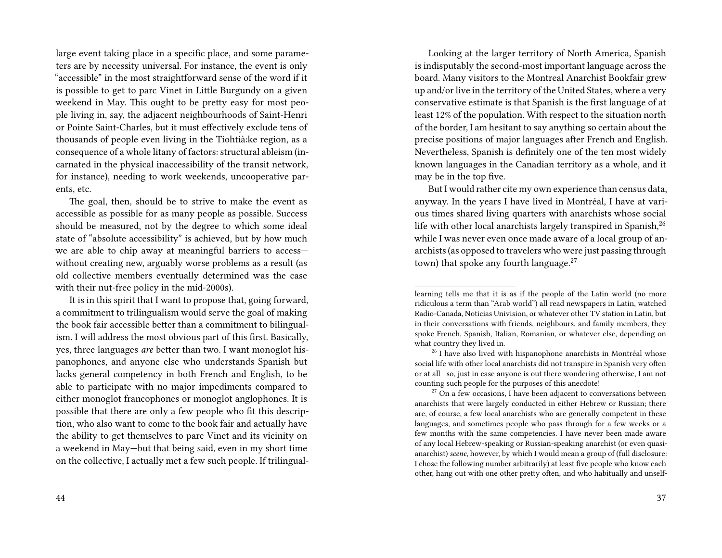large event taking place in a specific place, and some parameters are by necessity universal. For instance, the event is only "accessible" in the most straightforward sense of the word if it is possible to get to parc Vinet in Little Burgundy on a given weekend in May. This ought to be pretty easy for most people living in, say, the adjacent neighbourhoods of Saint-Henri or Pointe Saint-Charles, but it must effectively exclude tens of thousands of people even living in the Tiohtià:ke region, as a consequence of a whole litany of factors: structural ableism (incarnated in the physical inaccessibility of the transit network, for instance), needing to work weekends, uncooperative parents, etc.

The goal, then, should be to strive to make the event as accessible as possible for as many people as possible. Success should be measured, not by the degree to which some ideal state of "absolute accessibility" is achieved, but by how much we are able to chip away at meaningful barriers to access without creating new, arguably worse problems as a result (as old collective members eventually determined was the case with their nut-free policy in the mid-2000s).

It is in this spirit that I want to propose that, going forward, a commitment to trilingualism would serve the goal of making the book fair accessible better than a commitment to bilingualism. I will address the most obvious part of this first. Basically, yes, three languages *are* better than two. I want monoglot hispanophones, and anyone else who understands Spanish but lacks general competency in both French and English, to be able to participate with no major impediments compared to either monoglot francophones or monoglot anglophones. It is possible that there are only a few people who fit this description, who also want to come to the book fair and actually have the ability to get themselves to parc Vinet and its vicinity on a weekend in May—but that being said, even in my short time on the collective, I actually met a few such people. If trilingual-

Looking at the larger territory of North America, Spanish is indisputably the second-most important language across the board. Many visitors to the Montreal Anarchist Bookfair grew up and/or live in the territory of the United States, where a very conservative estimate is that Spanish is the first language of at least 12% of the population. With respect to the situation north of the border, I am hesitant to say anything so certain about the precise positions of major languages after French and English. Nevertheless, Spanish is definitely one of the ten most widely known languages in the Canadian territory as a whole, and it may be in the top five.

But I would rather cite my own experience than census data, anyway. In the years I have lived in Montréal, I have at various times shared living quarters with anarchists whose social life with other local anarchists largely transpired in Spanish,<sup>26</sup> while I was never even once made aware of a local group of anarchists (as opposed to travelers who were just passing through town) that spoke any fourth language.<sup>27</sup>

learning tells me that it is as if the people of the Latin world (no more ridiculous a term than "Arab world") all read newspapers in Latin, watched Radio-Canada, Noticias Univision, or whatever other TV station in Latin, but in their conversations with friends, neighbours, and family members, they spoke French, Spanish, Italian, Romanian, or whatever else, depending on what country they lived in.

<sup>&</sup>lt;sup>26</sup> I have also lived with hispanophone anarchists in Montréal whose social life with other local anarchists did not transpire in Spanish very often or at all—so, just in case anyone is out there wondering otherwise, I am not counting such people for the purposes of this anecdote!

 $27$  On a few occasions, I have been adjacent to conversations between anarchists that were largely conducted in either Hebrew or Russian; there are, of course, a few local anarchists who are generally competent in these languages, and sometimes people who pass through for a few weeks or a few months with the same competencies. I have never been made aware of any local Hebrew-speaking or Russian-speaking anarchist (or even quasianarchist) *scene*, however, by which I would mean a group of (full disclosure: I chose the following number arbitrarily) at least five people who know each other, hang out with one other pretty often, and who habitually and unself-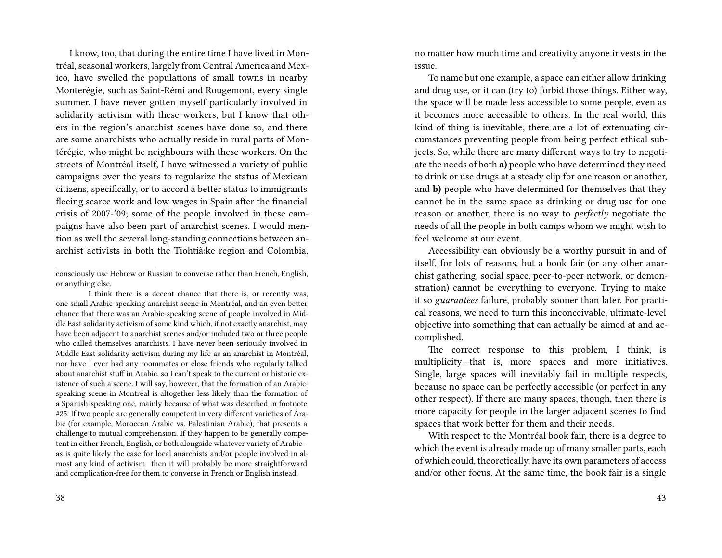I know, too, that during the entire time I have lived in Montréal, seasonal workers, largely from Central America and Mexico, have swelled the populations of small towns in nearby Monterégie, such as Saint-Rémi and Rougemont, every single summer. I have never gotten myself particularly involved in solidarity activism with these workers, but I know that others in the region's anarchist scenes have done so, and there are some anarchists who actually reside in rural parts of Montérégie, who might be neighbours with these workers. On the streets of Montréal itself, I have witnessed a variety of public campaigns over the years to regularize the status of Mexican citizens, specifically, or to accord a better status to immigrants fleeing scarce work and low wages in Spain after the financial crisis of 2007-'09; some of the people involved in these campaigns have also been part of anarchist scenes. I would mention as well the several long-standing connections between anarchist activists in both the Tiohtià:ke region and Colombia,

I think there is a decent chance that there is, or recently was, one small Arabic-speaking anarchist scene in Montréal, and an even better chance that there was an Arabic-speaking scene of people involved in Middle East solidarity activism of some kind which, if not exactly anarchist, may have been adjacent to anarchist scenes and/or included two or three people who called themselves anarchists. I have never been seriously involved in Middle East solidarity activism during my life as an anarchist in Montréal, nor have I ever had any roommates or close friends who regularly talked about anarchist stuff in Arabic, so I can't speak to the current or historic existence of such a scene. I will say, however, that the formation of an Arabicspeaking scene in Montréal is altogether less likely than the formation of a Spanish-speaking one, mainly because of what was described in footnote #25. If two people are generally competent in very different varieties of Arabic (for example, Moroccan Arabic vs. Palestinian Arabic), that presents a challenge to mutual comprehension. If they happen to be generally competent in either French, English, or both alongside whatever variety of Arabic as is quite likely the case for local anarchists and/or people involved in almost any kind of activism—then it will probably be more straightforward and complication-free for them to converse in French or English instead.

no matter how much time and creativity anyone invests in the issue.

To name but one example, a space can either allow drinking and drug use, or it can (try to) forbid those things. Either way, the space will be made less accessible to some people, even as it becomes more accessible to others. In the real world, this kind of thing is inevitable; there are a lot of extenuating circumstances preventing people from being perfect ethical subjects. So, while there are many different ways to try to negotiate the needs of both **a)** people who have determined they need to drink or use drugs at a steady clip for one reason or another, and **b)** people who have determined for themselves that they cannot be in the same space as drinking or drug use for one reason or another, there is no way to *perfectly* negotiate the needs of all the people in both camps whom we might wish to feel welcome at our event.

Accessibility can obviously be a worthy pursuit in and of itself, for lots of reasons, but a book fair (or any other anarchist gathering, social space, peer-to-peer network, or demonstration) cannot be everything to everyone. Trying to make it so *guarantees* failure, probably sooner than later. For practical reasons, we need to turn this inconceivable, ultimate-level objective into something that can actually be aimed at and accomplished.

The correct response to this problem, I think, is multiplicity—that is, more spaces and more initiatives. Single, large spaces will inevitably fail in multiple respects, because no space can be perfectly accessible (or perfect in any other respect). If there are many spaces, though, then there is more capacity for people in the larger adjacent scenes to find spaces that work better for them and their needs.

With respect to the Montréal book fair, there is a degree to which the event is already made up of many smaller parts, each of which could, theoretically, have its own parameters of access and/or other focus. At the same time, the book fair is a single

consciously use Hebrew or Russian to converse rather than French, English, or anything else.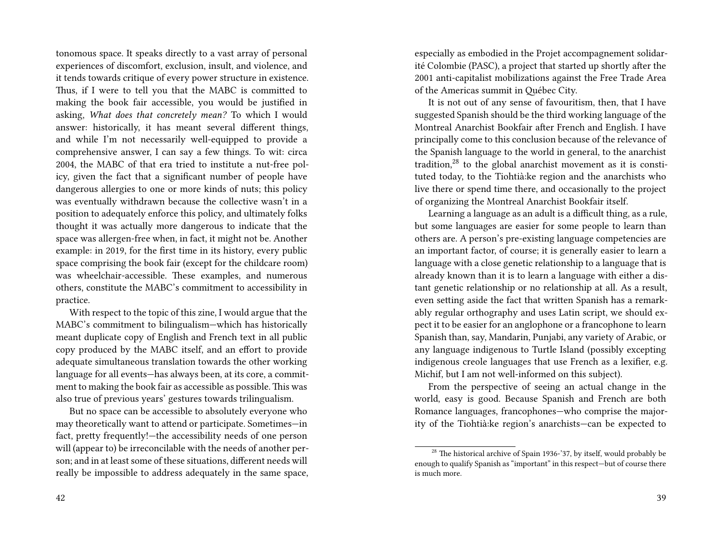tonomous space. It speaks directly to a vast array of personal experiences of discomfort, exclusion, insult, and violence, and it tends towards critique of every power structure in existence. Thus, if I were to tell you that the MABC is committed to making the book fair accessible, you would be justified in asking, *What does that concretely mean?* To which I would answer: historically, it has meant several different things, and while I'm not necessarily well-equipped to provide a comprehensive answer, I can say a few things. To wit: circa 2004, the MABC of that era tried to institute a nut-free policy, given the fact that a significant number of people have dangerous allergies to one or more kinds of nuts; this policy was eventually withdrawn because the collective wasn't in a position to adequately enforce this policy, and ultimately folks thought it was actually more dangerous to indicate that the space was allergen-free when, in fact, it might not be. Another example: in 2019, for the first time in its history, every public space comprising the book fair (except for the childcare room) was wheelchair-accessible. These examples, and numerous others, constitute the MABC's commitment to accessibility in practice.

With respect to the topic of this zine, I would argue that the MABC's commitment to bilingualism—which has historically meant duplicate copy of English and French text in all public copy produced by the MABC itself, and an effort to provide adequate simultaneous translation towards the other working language for all events—has always been, at its core, a commitment to making the book fair as accessible as possible. This was also true of previous years' gestures towards trilingualism.

But no space can be accessible to absolutely everyone who may theoretically want to attend or participate. Sometimes—in fact, pretty frequently!—the accessibility needs of one person will (appear to) be irreconcilable with the needs of another person; and in at least some of these situations, different needs will really be impossible to address adequately in the same space, especially as embodied in the Projet accompagnement solidarité Colombie (PASC), a project that started up shortly after the 2001 anti-capitalist mobilizations against the Free Trade Area of the Americas summit in Québec City.

It is not out of any sense of favouritism, then, that I have suggested Spanish should be the third working language of the Montreal Anarchist Bookfair after French and English. I have principally come to this conclusion because of the relevance of the Spanish language to the world in general, to the anarchist tradition,<sup>28</sup> to the global anarchist movement as it is constituted today, to the Tiohtià:ke region and the anarchists who live there or spend time there, and occasionally to the project of organizing the Montreal Anarchist Bookfair itself.

Learning a language as an adult is a difficult thing, as a rule, but some languages are easier for some people to learn than others are. A person's pre-existing language competencies are an important factor, of course; it is generally easier to learn a language with a close genetic relationship to a language that is already known than it is to learn a language with either a distant genetic relationship or no relationship at all. As a result, even setting aside the fact that written Spanish has a remarkably regular orthography and uses Latin script, we should expect it to be easier for an anglophone or a francophone to learn Spanish than, say, Mandarin, Punjabi, any variety of Arabic, or any language indigenous to Turtle Island (possibly excepting indigenous creole languages that use French as a lexifier, e.g. Michif, but I am not well-informed on this subject).

From the perspective of seeing an actual change in the world, easy is good. Because Spanish and French are both Romance languages, francophones—who comprise the majority of the Tiohtià:ke region's anarchists—can be expected to

<sup>&</sup>lt;sup>28</sup> The historical archive of Spain 1936-'37, by itself, would probably be enough to qualify Spanish as "important" in this respect—but of course there is much more.